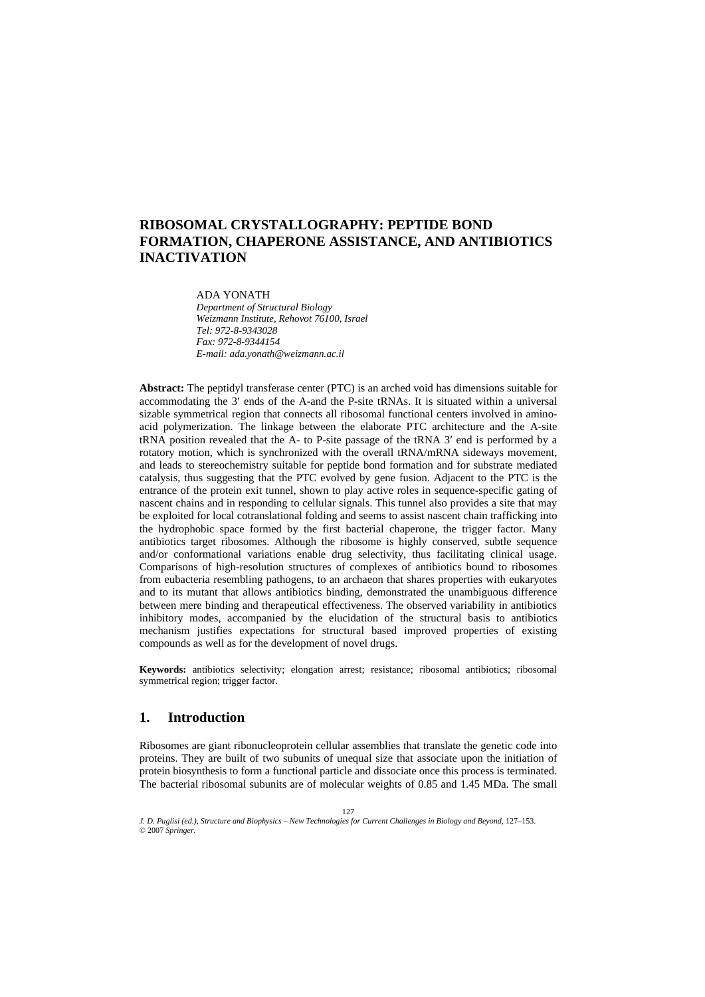# **RIBOSOMAL CRYSTALLOGRAPHY: PEPTIDE BOND FORMATION, CHAPERONE ASSISTANCE, AND ANTIBIOTICS INACTIVATION**

ADA YONATH *Department of Structural Biology Weizmann Institute, Rehovot 76100, Israel Tel: 972-8-9343028 Fax: 972-8-9344154 E-mail: ada.yonath@weizmann.ac.il* 

**Abstract:** The peptidyl transferase center (PTC) is an arched void has dimensions suitable for accommodating the 3′ ends of the A-and the P-site tRNAs. It is situated within a universal sizable symmetrical region that connects all ribosomal functional centers involved in aminoacid polymerization. The linkage between the elaborate PTC architecture and the A-site tRNA position revealed that the A- to P-site passage of the tRNA 3′ end is performed by a rotatory motion, which is synchronized with the overall tRNA/mRNA sideways movement, and leads to stereochemistry suitable for peptide bond formation and for substrate mediated catalysis, thus suggesting that the PTC evolved by gene fusion. Adjacent to the PTC is the entrance of the protein exit tunnel, shown to play active roles in sequence-specific gating of nascent chains and in responding to cellular signals. This tunnel also provides a site that may be exploited for local cotranslational folding and seems to assist nascent chain trafficking into the hydrophobic space formed by the first bacterial chaperone, the trigger factor. Many antibiotics target ribosomes. Although the ribosome is highly conserved, subtle sequence and/or conformational variations enable drug selectivity, thus facilitating clinical usage. Comparisons of high-resolution structures of complexes of antibiotics bound to ribosomes from eubacteria resembling pathogens, to an archaeon that shares properties with eukaryotes and to its mutant that allows antibiotics binding, demonstrated the unambiguous difference between mere binding and therapeutical effectiveness. The observed variability in antibiotics inhibitory modes, accompanied by the elucidation of the structural basis to antibiotics mechanism justifies expectations for structural based improved properties of existing compounds as well as for the development of novel drugs.

**Keywords:** antibiotics selectivity; elongation arrest; resistance; ribosomal antibiotics; ribosomal symmetrical region; trigger factor.

# **1. Introduction**

Ribosomes are giant ribonucleoprotein cellular assemblies that translate the genetic code into proteins. They are built of two subunits of unequal size that associate upon the initiation of protein biosynthesis to form a functional particle and dissociate once this process is terminated. The bacterial ribosomal subunits are of molecular weights of 0.85 and 1.45 MDa. The small

© 2007 *Springer.*  127 J. D. Puglisi (ed.), Structure and Biophysics - New Technologies for Current Challenges in Biology and Beyond, 127-153.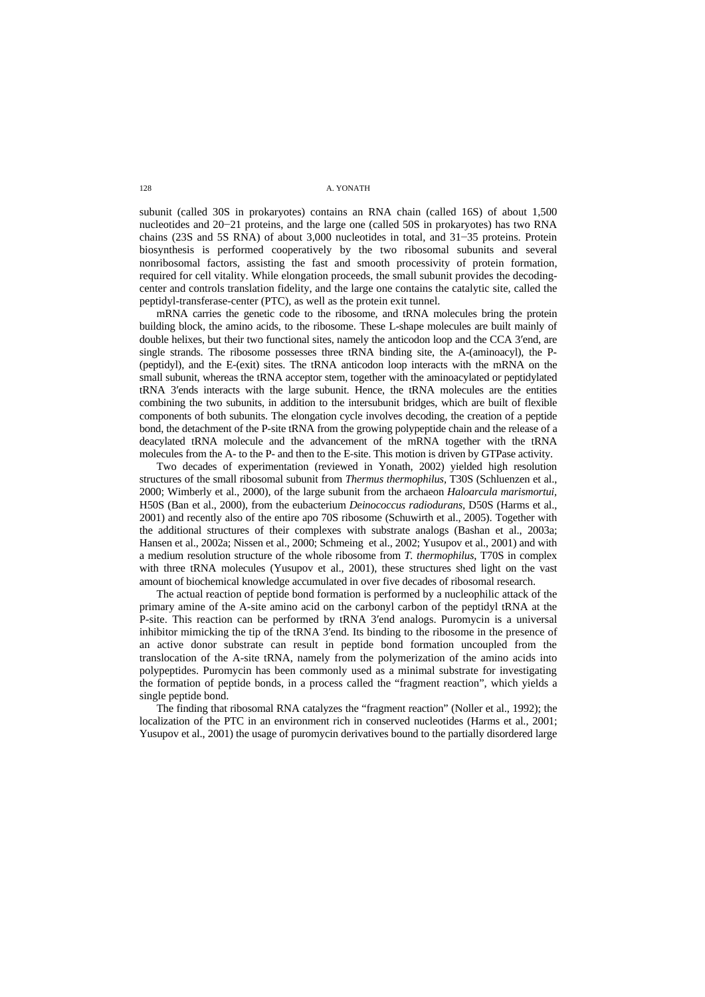subunit (called 30S in prokaryotes) contains an RNA chain (called 16S) of about 1,500 nucleotides and 20−21 proteins, and the large one (called 50S in prokaryotes) has two RNA chains (23S and 5S RNA) of about 3,000 nucleotides in total, and 31−35 proteins. Protein biosynthesis is performed cooperatively by the two ribosomal subunits and several nonribosomal factors, assisting the fast and smooth processivity of protein formation, required for cell vitality. While elongation proceeds, the small subunit provides the decodingcenter and controls translation fidelity, and the large one contains the catalytic site, called the peptidyl-transferase-center (PTC), as well as the protein exit tunnel.

mRNA carries the genetic code to the ribosome, and tRNA molecules bring the protein building block, the amino acids, to the ribosome. These L-shape molecules are built mainly of double helixes, but their two functional sites, namely the anticodon loop and the CCA 3′end, are single strands. The ribosome possesses three tRNA binding site, the A-(aminoacyl), the P- (peptidyl), and the E-(exit) sites. The tRNA anticodon loop interacts with the mRNA on the small subunit, whereas the tRNA acceptor stem, together with the aminoacylated or peptidylated tRNA 3′ends interacts with the large subunit. Hence, the tRNA molecules are the entities combining the two subunits, in addition to the intersubunit bridges, which are built of flexible components of both subunits. The elongation cycle involves decoding, the creation of a peptide bond, the detachment of the P-site tRNA from the growing polypeptide chain and the release of a deacylated tRNA molecule and the advancement of the mRNA together with the tRNA molecules from the A- to the P- and then to the E-site. This motion is driven by GTPase activity.

Two decades of experimentation (reviewed in Yonath, 2002) yielded high resolution structures of the small ribosomal subunit from *Thermus thermophilus,* T30S (Schluenzen et al., 2000; Wimberly et al., 2000), of the large subunit from the archaeon *Haloarcula marismortui,* H50S (Ban et al., 2000), from the eubacterium *Deinococcus radiodurans,* D50S (Harms et al., 2001) and recently also of the entire apo 70S ribosome (Schuwirth et al., 2005). Together with the additional structures of their complexes with substrate analogs (Bashan et al., 2003a; Hansen et al., 2002a; Nissen et al., 2000; Schmeing et al., 2002; Yusupov et al., 2001) and with a medium resolution structure of the whole ribosome from *T. thermophilus*, T70S in complex with three tRNA molecules (Yusupov et al., 2001), these structures shed light on the vast amount of biochemical knowledge accumulated in over five decades of ribosomal research.

The actual reaction of peptide bond formation is performed by a nucleophilic attack of the primary amine of the A-site amino acid on the carbonyl carbon of the peptidyl tRNA at the P-site. This reaction can be performed by tRNA 3′end analogs. Puromycin is a universal inhibitor mimicking the tip of the tRNA 3′end. Its binding to the ribosome in the presence of an active donor substrate can result in peptide bond formation uncoupled from the translocation of the A-site tRNA, namely from the polymerization of the amino acids into polypeptides. Puromycin has been commonly used as a minimal substrate for investigating single peptide bond. the formation of peptide bonds, in a process called the "fragment reaction", which yields a

The finding that ribosomal RNA catalyzes the "fragment reaction" (Noller et al., 1992); the localization of the PTC in an environment rich in conserved nucleotides (Harms et al., 2001; Yusupov et al., 2001) the usage of puromycin derivatives bound to the partially disordered large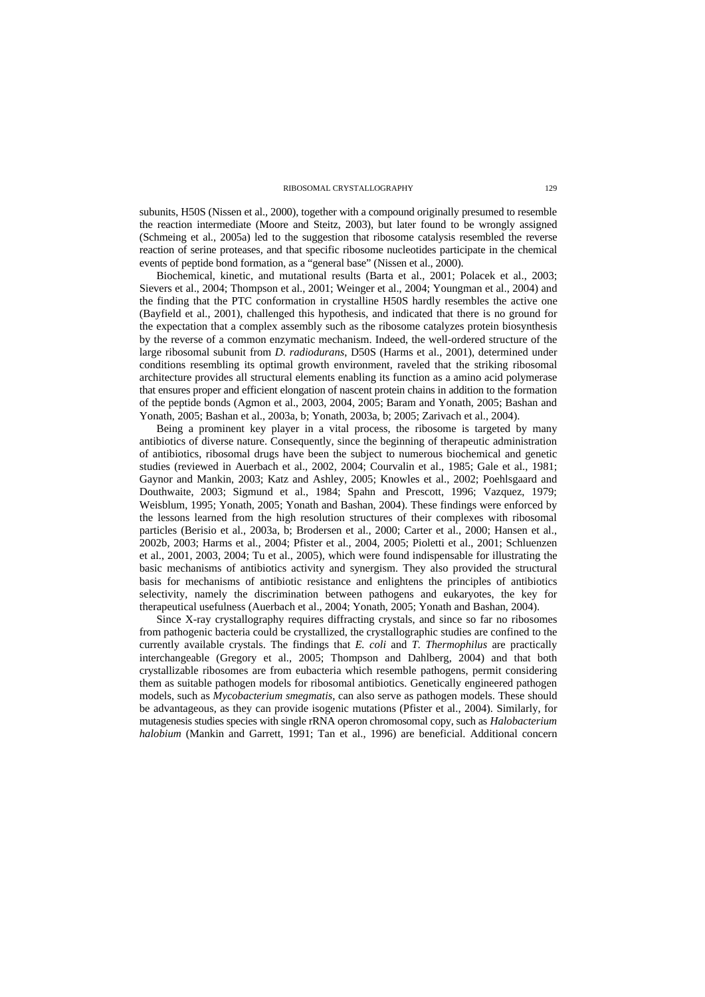subunits, H50S (Nissen et al., 2000), together with a compound originally presumed to resemble the reaction intermediate (Moore and Steitz, 2003), but later found to be wrongly assigned (Schmeing et al., 2005a) led to the suggestion that ribosome catalysis resembled the reverse reaction of serine proteases, and that specific ribosome nucleotides participate in the chemical events of peptide bond formation, as a "general base" (Nissen et al., 2000).

Biochemical, kinetic, and mutational results (Barta et al., 2001; Polacek et al., 2003; Sievers et al., 2004; Thompson et al., 2001; Weinger et al., 2004; Youngman et al., 2004) and (Bayfield et al., 2001), challenged this hypothesis, and indicated that there is no ground for the expectation that a complex assembly such as the ribosome catalyzes protein biosynthesis by the reverse of a common enzymatic mechanism. Indeed, the well-ordered structure of the large ribosomal subunit from *D. radiodurans*, D50S (Harms et al., 2001), determined under conditions resembling its optimal growth environment, raveled that the striking ribosomal architecture provides all structural elements enabling its function as a amino acid polymerase that ensures proper and efficient elongation of nascent protein chains in addition to the formation of the peptide bonds (Agmon et al., 2003, 2004, 2005; Baram and Yonath, 2005; Bashan and Yonath, 2005; Bashan et al., 2003a, b; Yonath, 2003a, b; 2005; Zarivach et al., 2004). the finding that the PTC conformation in crystalline H50S hardly resembles the active one

Being a prominent key player in a vital process, the ribosome is targeted by many antibiotics of diverse nature. Consequently, since the beginning of therapeutic administration of antibiotics, ribosomal drugs have been the subject to numerous biochemical and genetic studies (reviewed in Auerbach et al., 2002, 2004; Courvalin et al., 1985; Gale et al., 1981; Gaynor and Mankin, 2003; Katz and Ashley, 2005; Knowles et al., 2002; Poehlsgaard and Douthwaite, 2003; Sigmund et al., 1984; Spahn and Prescott, 1996; Vazquez, 1979; Weisblum, 1995; Yonath, 2005; Yonath and Bashan, 2004). These findings were enforced by the lessons learned from the high resolution structures of their complexes with ribosomal particles (Berisio et al., 2003a, b; Brodersen et al., 2000; Carter et al., 2000; Hansen et al., 2002b, 2003; Harms et al., 2004; Pfister et al., 2004, 2005; Pioletti et al., 2001; Schluenzen et al., 2001, 2003, 2004; Tu et al., 2005), which were found indispensable for illustrating the basic mechanisms of antibiotics activity and synergism. They also provided the structural basis for mechanisms of antibiotic resistance and enlightens the principles of antibiotics selectivity, namely the discrimination between pathogens and eukaryotes, the key for therapeutical usefulness (Auerbach et al., 2004; Yonath, 2005; Yonath and Bashan, 2004).

Since X-ray crystallography requires diffracting crystals, and since so far no ribosomes from pathogenic bacteria could be crystallized, the crystallographic studies are confined to the currently available crystals. The findings that *E. coli* and *T. Thermophilus* are practically interchangeable (Gregory et al., 2005; Thompson and Dahlberg, 2004) and that both crystallizable ribosomes are from eubacteria which resemble pathogens, permit considering them as suitable pathogen models for ribosomal antibiotics. Genetically engineered pathogen models, such as *Mycobacterium smegmatis*, can also serve as pathogen models. These should be advantageous, as they can provide isogenic mutations (Pfister et al., 2004). Similarly, for mutagenesis studies species with single rRNA operon chromosomal copy, such as *Halobacterium halobium* (Mankin and Garrett, 1991; Tan et al., 1996) are beneficial. Additional concern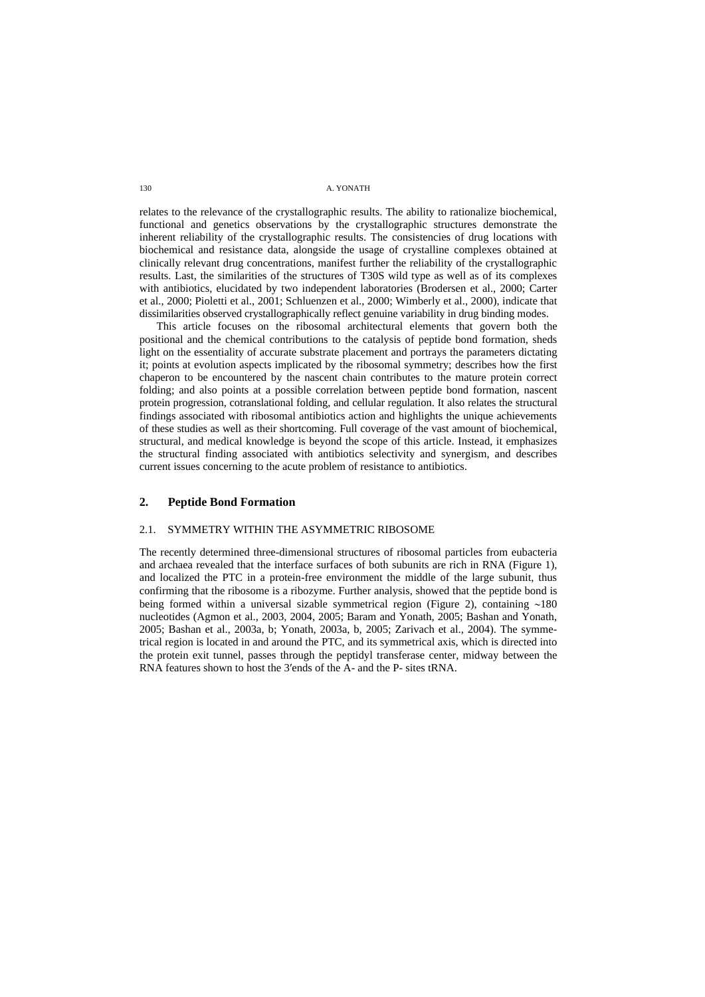relates to the relevance of the crystallographic results. The ability to rationalize biochemical, functional and genetics observations by the crystallographic structures demonstrate the inherent reliability of the crystallographic results. The consistencies of drug locations with biochemical and resistance data, alongside the usage of crystalline complexes obtained at clinically relevant drug concentrations, manifest further the reliability of the crystallographic results. Last, the similarities of the structures of T30S wild type as well as of its complexes with antibiotics, elucidated by two independent laboratories (Brodersen et al., 2000; Carter et al., 2000; Pioletti et al., 2001; Schluenzen et al., 2000; Wimberly et al., 2000), indicate that dissimilarities observed crystallographically reflect genuine variability in drug binding modes.

This article focuses on the ribosomal architectural elements that govern both the positional and the chemical contributions to the catalysis of peptide bond formation, sheds light on the essentiality of accurate substrate placement and portrays the parameters dictating it; points at evolution aspects implicated by the ribosomal symmetry; describes how the first chaperon to be encountered by the nascent chain contributes to the mature protein correct folding; and also points at a possible correlation between peptide bond formation, nascent protein progression, cotranslational folding, and cellular regulation. It also relates the structural findings associated with ribosomal antibiotics action and highlights the unique achievements of these studies as well as their shortcoming. Full coverage of the vast amount of biochemical, structural, and medical knowledge is beyond the scope of this article. Instead, it emphasizes the structural finding associated with antibiotics selectivity and synergism, and describes current issues concerning to the acute problem of resistance to antibiotics.

# **2. Peptide Bond Formation**

# 2.1. SYMMETRY WITHIN THE ASYMMETRIC RIBOSOME

The recently determined three-dimensional structures of ribosomal particles from eubacteria and archaea revealed that the interface surfaces of both subunits are rich in RNA (Figure 1), and localized the PTC in a protein-free environment the middle of the large subunit, thus confirming that the ribosome is a ribozyme. Further analysis, showed that the peptide bond is being formed within a universal sizable symmetrical region (Figure 2), containing ∼180 nucleotides (Agmon et al., 2003, 2004, 2005; Baram and Yonath, 2005; Bashan and Yonath, 2005; Bashan et al., 2003a, b; Yonath, 2003a, b, 2005; Zarivach et al., 2004). The symmetrical region is located in and around the PTC, and its symmetrical axis, which is directed into the protein exit tunnel, passes through the peptidyl transferase center, midway between the RNA features shown to host the 3′ends of the A- and the P- sites tRNA.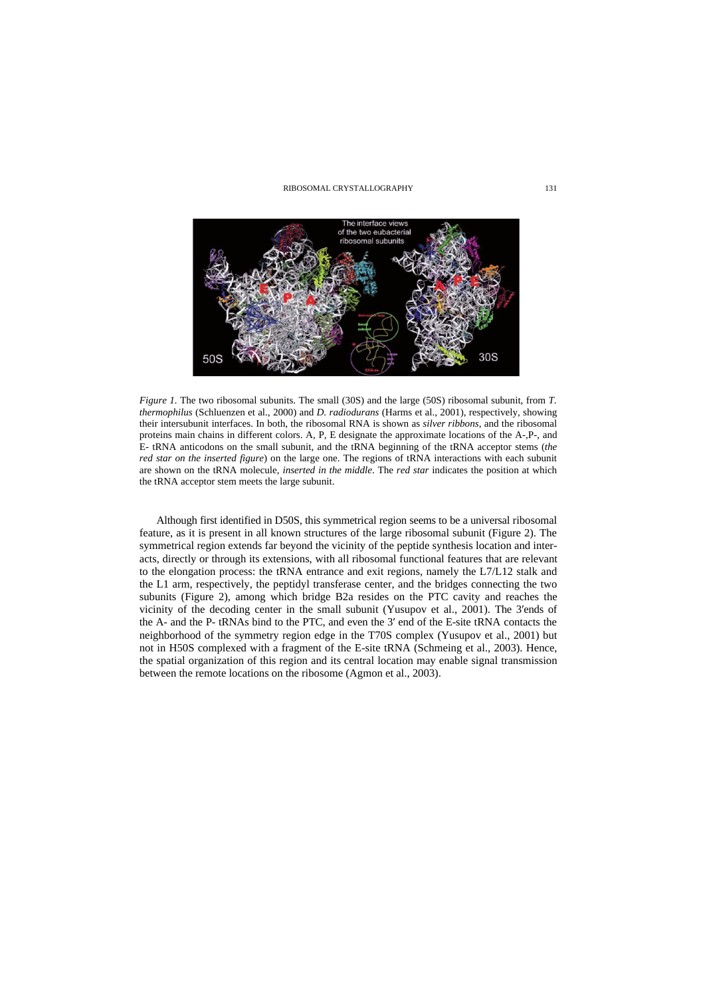

*Figure 1.* The two ribosomal subunits. The small (30S) and the large (50S) ribosomal subunit, from *T. thermophilus* (Schluenzen et al., 2000) and *D. radiodurans* (Harms et al., 2001), respectively, showing their intersubunit interfaces. In both, the ribosomal RNA is shown as *silver ribbons*, and the ribosomal proteins main chains in different colors. A, P, E designate the approximate locations of the A-,P-, and E- tRNA anticodons on the small subunit, and the tRNA beginning of the tRNA acceptor stems (*the red star on the inserted figure*) on the large one. The regions of tRNA interactions with each subunit are shown on the tRNA molecule, *inserted in the middle*. The *red star* indicates the position at which the tRNA acceptor stem meets the large subunit.

Although first identified in D50S, this symmetrical region seems to be a universal ribosomal feature, as it is present in all known structures of the large ribosomal subunit (Figure 2). The symmetrical region extends far beyond the vicinity of the peptide synthesis location and interacts, directly or through its extensions, with all ribosomal functional features that are relevant to the elongation process: the tRNA entrance and exit regions, namely the L7/L12 stalk and the L1 arm, respectively, the peptidyl transferase center, and the bridges connecting the two subunits (Figure 2), among which bridge B2a resides on the PTC cavity and reaches the vicinity of the decoding center in the small subunit (Yusupov et al., 2001). The 3′ends of the A- and the P- tRNAs bind to the PTC, and even the 3′ end of the E-site tRNA contacts the neighborhood of the symmetry region edge in the T70S complex (Yusupov et al., 2001) but not in H50S complexed with a fragment of the E-site tRNA (Schmeing et al., 2003). Hence, the spatial organization of this region and its central location may enable signal transmission between the remote locations on the ribosome (Agmon et al., 2003).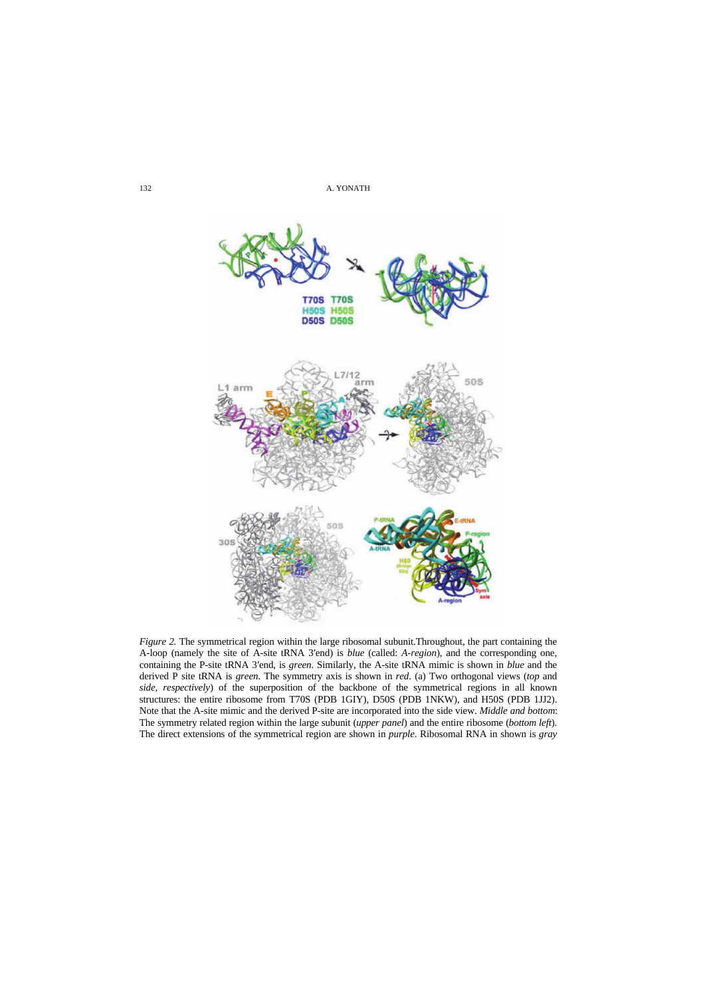

*Figure 2.* The symmetrical region within the large ribosomal subunit.Throughout, the part containing the A-loop (namely the site of A-site tRNA 3′end) is *blue* (called: *A-region*), and the corresponding one, containing the P-site tRNA 3′end, is *green*. Similarly, the A-site tRNA mimic is shown in *blue* and the derived P site tRNA is *green*. The symmetry axis is shown in *red*. (a) Two orthogonal views (*top* and *side, respectively*) of the superposition of the backbone of the symmetrical regions in all known structures: the entire ribosome from T70S (PDB 1GIY), D50S (PDB 1NKW), and H50S (PDB 1JJ2). The symmetry related region within the large subunit (*upper panel*) and the entire ribosome (*bottom left*). The direct extensions of the symmetrical region are shown in *purple*. Ribosomal RNA in shown is *gray* Note that the A-site mimic and the derived P-site are incorporated into the side view. *Middle and bottom*: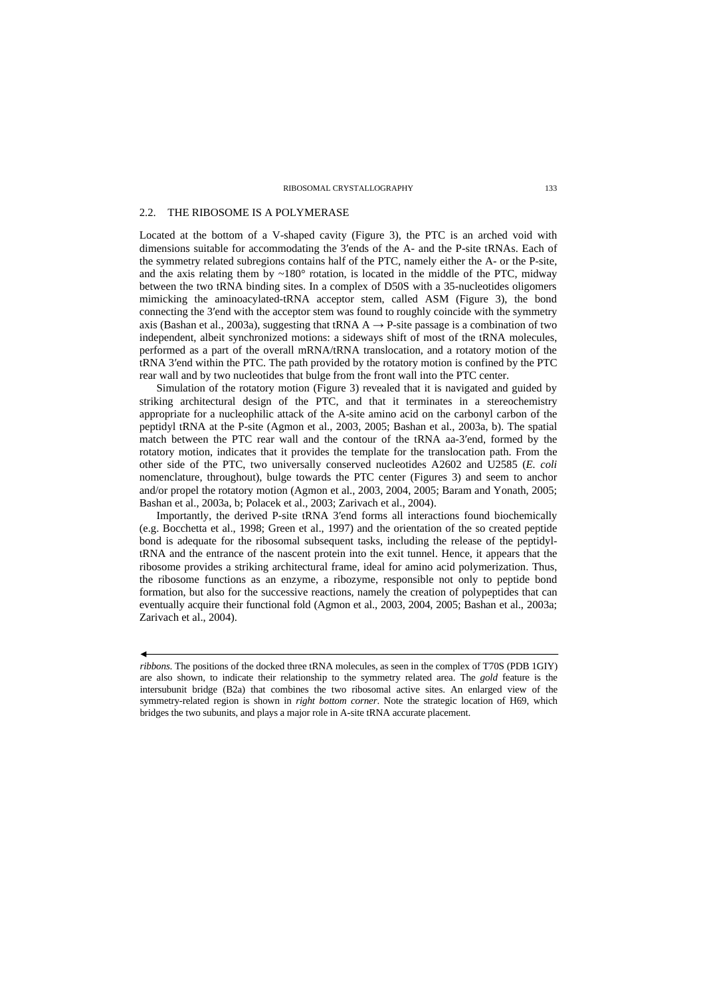# 2.2. THE RIBOSOME IS A POLYMERASE

Located at the bottom of a V-shaped cavity (Figure 3), the PTC is an arched void with dimensions suitable for accommodating the 3′ends of the A- and the P-site tRNAs. Each of the symmetry related subregions contains half of the PTC, namely either the A- or the P-site, and the axis relating them by  $~180^\circ$  rotation, is located in the middle of the PTC, midway between the two tRNA binding sites. In a complex of D50S with a 35-nucleotides oligomers mimicking the aminoacylated-tRNA acceptor stem, called ASM (Figure 3), the bond connecting the 3′end with the acceptor stem was found to roughly coincide with the symmetry axis (Bashan et al., 2003a), suggesting that tRNA  $A \rightarrow P$ -site passage is a combination of two independent, albeit synchronized motions: a sideways shift of most of the tRNA molecules, performed as a part of the overall mRNA/tRNA translocation, and a rotatory motion of the tRNA 3′end within the PTC. The path provided by the rotatory motion is confined by the PTC rear wall and by two nucleotides that bulge from the front wall into the PTC center.

Simulation of the rotatory motion (Figure 3) revealed that it is navigated and guided by striking architectural design of the PTC, and that it terminates in a stereochemistry appropriate for a nucleophilic attack of the A-site amino acid on the carbonyl carbon of the peptidyl tRNA at the P-site (Agmon et al., 2003, 2005; Bashan et al., 2003a, b). The spatial match between the PTC rear wall and the contour of the tRNA aa-3′end, formed by the rotatory motion, indicates that it provides the template for the translocation path. From the other side of the PTC, two universally conserved nucleotides A2602 and U2585 (*E. coli* nomenclature, throughout), bulge towards the PTC center (Figures 3) and seem to anchor and/or propel the rotatory motion (Agmon et al., 2003, 2004, 2005; Baram and Yonath, 2005; Bashan et al., 2003a, b; Polacek et al., 2003; Zarivach et al., 2004).

Importantly, the derived P-site tRNA 3′end forms all interactions found biochemically (e.g. Bocchetta et al., 1998; Green et al., 1997) and the orientation of the so created peptide bond is adequate for the ribosomal subsequent tasks, including the release of the peptidyltRNA and the entrance of the nascent protein into the exit tunnel. Hence, it appears that the ribosome provides a striking architectural frame, ideal for amino acid polymerization. Thus, the ribosome functions as an enzyme, a ribozyme, responsible not only to peptide bond formation, but also for the successive reactions, namely the creation of polypeptides that can eventually acquire their functional fold (Agmon et al., 2003, 2004, 2005; Bashan et al., 2003a; Zarivach et al., 2004).

*ribbons*. The positions of the docked three tRNA molecules, as seen in the complex of T70S (PDB 1GIY) are also shown, to indicate their relationship to the symmetry related area. The *gold* feature is the intersubunit bridge (B2a) that combines the two ribosomal active sites. An enlarged view of the symmetry-related region is shown in *right bottom corner*. Note the strategic location of H69, which bridges the two subunits, and plays a major role in A-site tRNA accurate placement.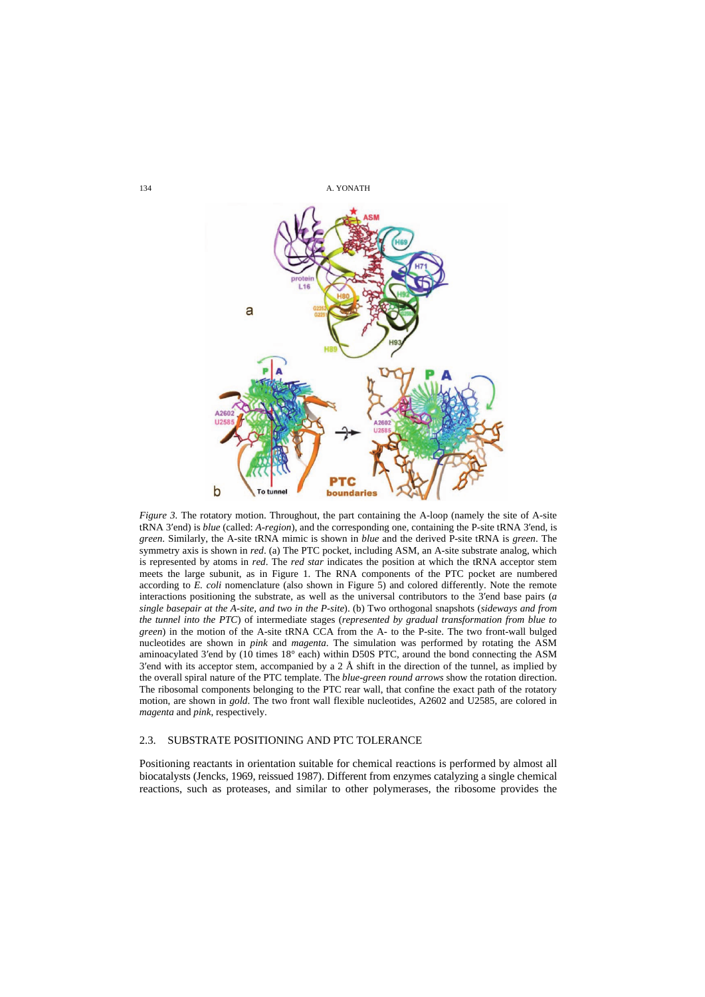

*Figure 3.* The rotatory motion. Throughout, the part containing the A-loop (namely the site of A-site tRNA 3′end) is *blue* (called: *A-region*), and the corresponding one, containing the P-site tRNA 3′end, is *green*. Similarly, the A-site tRNA mimic is shown in *blue* and the derived P-site tRNA is *green*. The symmetry axis is shown in *red*. (a) The PTC pocket, including ASM, an A-site substrate analog, which is represented by atoms in *red*. The *red star* indicates the position at which the tRNA acceptor stem meets the large subunit, as in Figure 1. The RNA components of the PTC pocket are numbered according to *E. coli* nomenclature (also shown in Figure 5) and colored differently. Note the remote interactions positioning the substrate, as well as the universal contributors to the 3′end base pairs (*a single basepair at the A-site, and two in the P-site*). (b) Two orthogonal snapshots (*sideways and from the tunnel into the PTC*) of intermediate stages (*represented by gradual transformation from blue to green*) in the motion of the A-site tRNA CCA from the A- to the P-site. The two front-wall bulged nucleotides are shown in *pink* and *magenta*. The simulation was performed by rotating the ASM aminoacylated 3′end by (10 times 18° each) within D50S PTC, around the bond connecting the ASM 3'end with its acceptor stem, accompanied by a  $2 \text{ Å}$  shift in the direction of the tunnel, as implied by the overall spiral nature of the PTC template. The *blue-green round arrows* show the rotation direction. The ribosomal components belonging to the PTC rear wall, that confine the exact path of the rotatory motion, are shown in *gold*. The two front wall flexible nucleotides, A2602 and U2585, are colored in *magenta* and *pink*, respectively.

### 2.3. SUBSTRATE POSITIONING AND PTC TOLERANCE

Positioning reactants in orientation suitable for chemical reactions is performed by almost all biocatalysts (Jencks, 1969, reissued 1987). Different from enzymes catalyzing a single chemical reactions, such as proteases, and similar to other polymerases, the ribosome provides the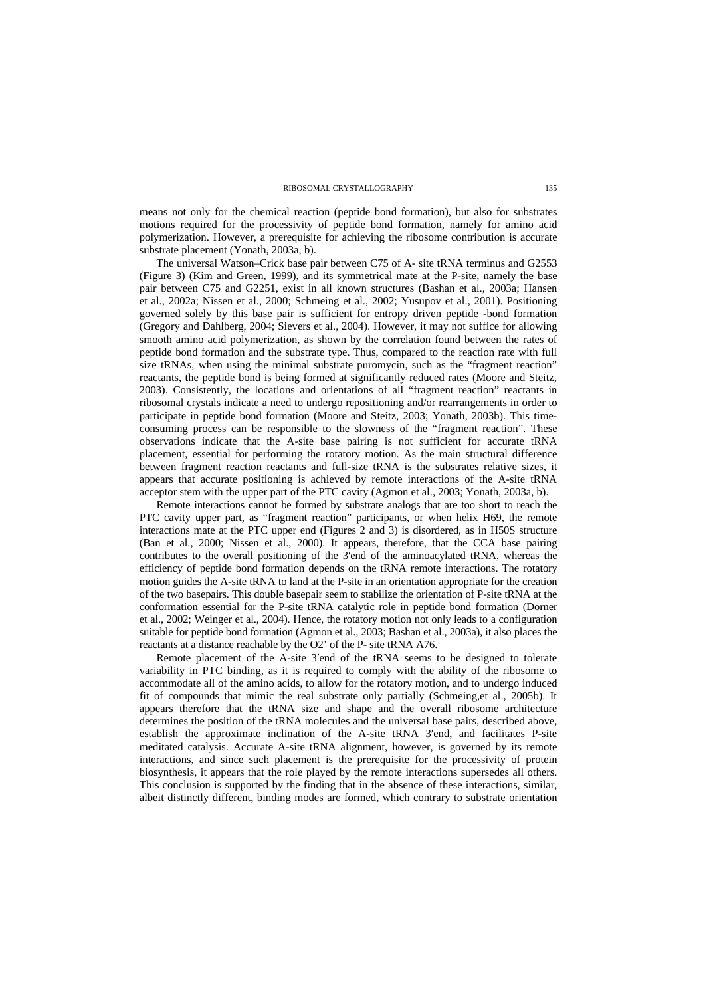means not only for the chemical reaction (peptide bond formation), but also for substrates motions required for the processivity of peptide bond formation, namely for amino acid polymerization. However, a prerequisite for achieving the ribosome contribution is accurate substrate placement (Yonath, 2003a, b).

The universal Watson–Crick base pair between C75 of A- site tRNA terminus and G2553 (Figure 3) (Kim and Green, 1999), and its symmetrical mate at the P-site, namely the base pair between C75 and G2251, exist in all known structures (Bashan et al., 2003a; Hansen et al., 2002a; Nissen et al., 2000; Schmeing et al., 2002; Yusupov et al., 2001). Positioning governed solely by this base pair is sufficient for entropy driven peptide -bond formation (Gregory and Dahlberg, 2004; Sievers et al., 2004). However, it may not suffice for allowing smooth amino acid polymerization, as shown by the correlation found between the rates of peptide bond formation and the substrate type. Thus, compared to the reaction rate with full size tRNAs, when using the minimal substrate puromycin, such as the "fragment reaction" reactants, the peptide bond is being formed at significantly reduced rates (Moore and Steitz, 2003). Consistently, the locations and orientations of all "fragment reaction" reactants in ribosomal crystals indicate a need to undergo repositioning and/or rearrangements in order to participate in peptide bond formation (Moore and Steitz, 2003; Yonath, 2003b). This timeconsuming process can be responsible to the slowness of the "fragment reaction". These observations indicate that the A-site base pairing is not sufficient for accurate tRNA placement, essential for performing the rotatory motion. As the main structural difference between fragment reaction reactants and full-size tRNA is the substrates relative sizes, it appears that accurate positioning is achieved by remote interactions of the A-site tRNA acceptor stem with the upper part of the PTC cavity (Agmon et al., 2003; Yonath, 2003a, b).

Remote interactions cannot be formed by substrate analogs that are too short to reach the PTC cavity upper part, as "fragment reaction" participants, or when helix H69, the remote interactions mate at the PTC upper end (Figures 2 and 3) is disordered, as in H50S structure (Ban et al., 2000; Nissen et al., 2000). It appears, therefore, that the CCA base pairing contributes to the overall positioning of the 3<sup>'</sup>end of the aminoacylated tRNA, whereas the efficiency of peptide bond formation depends on the tRNA remote interactions. The rotatory motion guides the A-site tRNA to land at the P-site in an orientation appropriate for the creation of the two basepairs. This double basepair seem to stabilize the orientation of P-site tRNA at the conformation essential for the P-site tRNA catalytic role in peptide bond formation (Dorner et al., 2002; Weinger et al., 2004). Hence, the rotatory motion not only leads to a configuration suitable for peptide bond formation (Agmon et al., 2003; Bashan et al., 2003a), it also places the reactants at a distance reachable by the O2' of the P- site tRNA A76.

Remote placement of the A-site 3′end of the tRNA seems to be designed to tolerate variability in PTC binding, as it is required to comply with the ability of the ribosome to accommodate all of the amino acids, to allow for the rotatory motion, and to undergo induced fit of compounds that mimic the real substrate only partially (Schmeing,et al., 2005b). It appears therefore that the tRNA size and shape and the overall ribosome architecture determines the position of the tRNA molecules and the universal base pairs, described above, establish the approximate inclination of the A-site tRNA 3′end, and facilitates P-site meditated catalysis. Accurate A-site tRNA alignment, however, is governed by its remote interactions, and since such placement is the prerequisite for the processivity of protein biosynthesis, it appears that the role played by the remote interactions supersedes all others. This conclusion is supported by the finding that in the absence of these interactions, similar, albeit distinctly different, binding modes are formed, which contrary to substrate orientation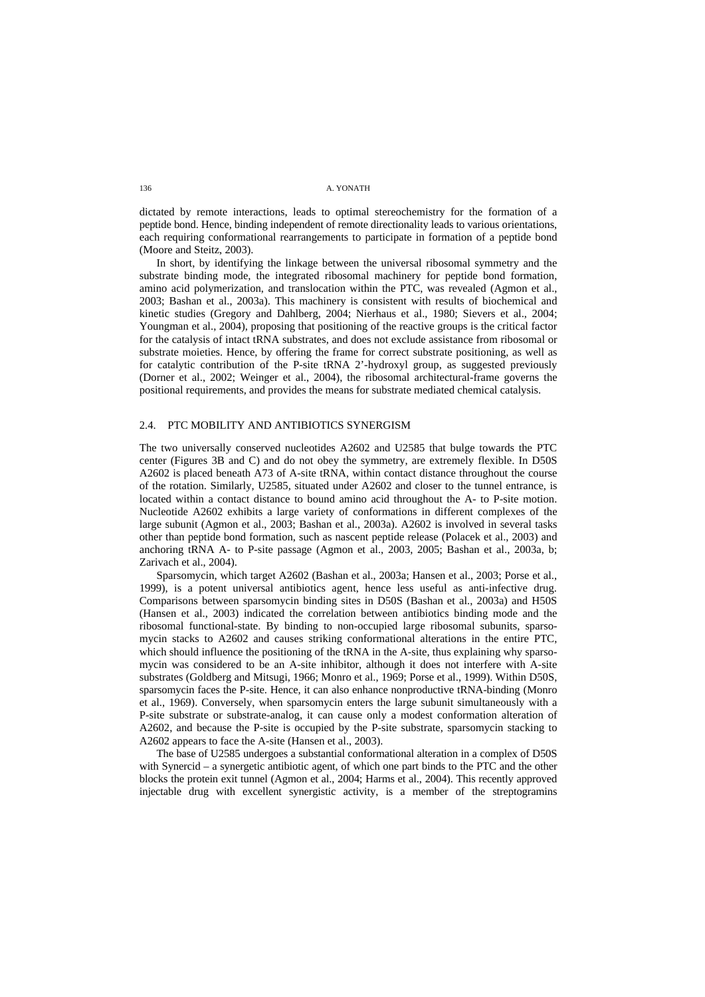dictated by remote interactions, leads to optimal stereochemistry for the formation of a peptide bond. Hence, binding independent of remote directionality leads to various orientations, each requiring conformational rearrangements to participate in formation of a peptide bond (Moore and Steitz, 2003).

In short, by identifying the linkage between the universal ribosomal symmetry and the substrate binding mode, the integrated ribosomal machinery for peptide bond formation, amino acid polymerization, and translocation within the PTC, was revealed (Agmon et al., 2003; Bashan et al., 2003a). This machinery is consistent with results of biochemical and kinetic studies (Gregory and Dahlberg, 2004; Nierhaus et al., 1980; Sievers et al., 2004; Youngman et al., 2004), proposing that positioning of the reactive groups is the critical factor for the catalysis of intact tRNA substrates, and does not exclude assistance from ribosomal or substrate moieties. Hence, by offering the frame for correct substrate positioning, as well as for catalytic contribution of the P-site tRNA 2'-hydroxyl group, as suggested previously (Dorner et al., 2002; Weinger et al., 2004), the ribosomal architectural-frame governs the positional requirements, and provides the means for substrate mediated chemical catalysis.

### 2.4. PTC MOBILITY AND ANTIBIOTICS SYNERGISM

The two universally conserved nucleotides A2602 and U2585 that bulge towards the PTC center (Figures 3B and C) and do not obey the symmetry, are extremely flexible. In D50S A2602 is placed beneath A73 of A-site tRNA, within contact distance throughout the course of the rotation. Similarly, U2585, situated under A2602 and closer to the tunnel entrance, is located within a contact distance to bound amino acid throughout the A- to P-site motion. Nucleotide A2602 exhibits a large variety of conformations in different complexes of the large subunit (Agmon et al., 2003; Bashan et al., 2003a). A2602 is involved in several tasks other than peptide bond formation, such as nascent peptide release (Polacek et al., 2003) and anchoring tRNA A- to P-site passage (Agmon et al., 2003, 2005; Bashan et al., 2003a, b; Zarivach et al., 2004).

Sparsomycin, which target A2602 (Bashan et al., 2003a; Hansen et al., 2003; Porse et al., 1999), is a potent universal antibiotics agent, hence less useful as anti-infective drug. Comparisons between sparsomycin binding sites in D50S (Bashan et al., 2003a) and H50S (Hansen et al., 2003) indicated the correlation between antibiotics binding mode and the ribosomal functional-state. By binding to non-occupied large ribosomal subunits, sparsomycin stacks to A2602 and causes striking conformational alterations in the entire PTC, which should influence the positioning of the tRNA in the A-site, thus explaining why sparsomycin was considered to be an A-site inhibitor, although it does not interfere with A-site substrates (Goldberg and Mitsugi, 1966; Monro et al., 1969; Porse et al., 1999). Within D50S, sparsomycin faces the P-site. Hence, it can also enhance nonproductive tRNA-binding (Monro et al., 1969). Conversely, when sparsomycin enters the large subunit simultaneously with a P-site substrate or substrate-analog, it can cause only a modest conformation alteration of A2602, and because the P-site is occupied by the P-site substrate, sparsomycin stacking to A2602 appears to face the A-site (Hansen et al., 2003).

The base of U2585 undergoes a substantial conformational alteration in a complex of D50S with Synercid – a synergetic antibiotic agent, of which one part binds to the PTC and the other blocks the protein exit tunnel (Agmon et al., 2004; Harms et al., 2004). This recently approved injectable drug with excellent synergistic activity, is a member of the streptogramins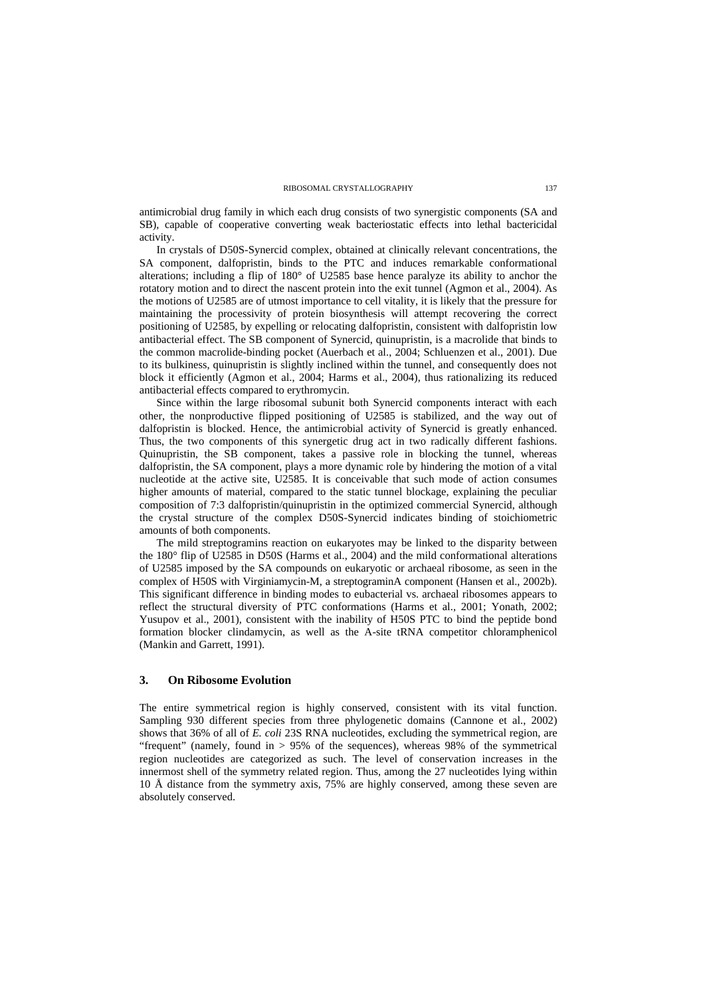antimicrobial drug family in which each drug consists of two synergistic components (SA and SB), capable of cooperative converting weak bacteriostatic effects into lethal bactericidal activity.

In crystals of D50S-Synercid complex, obtained at clinically relevant concentrations, the SA component, dalfopristin, binds to the PTC and induces remarkable conformational alterations; including a flip of 180° of U2585 base hence paralyze its ability to anchor the rotatory motion and to direct the nascent protein into the exit tunnel (Agmon et al., 2004). As the motions of U2585 are of utmost importance to cell vitality, it is likely that the pressure for maintaining the processivity of protein biosynthesis will attempt recovering the correct positioning of U2585, by expelling or relocating dalfopristin, consistent with dalfopristin low antibacterial effect. The SB component of Synercid, quinupristin, is a macrolide that binds to the common macrolide-binding pocket (Auerbach et al., 2004; Schluenzen et al., 2001). Due to its bulkiness, quinupristin is slightly inclined within the tunnel, and consequently does not block it efficiently (Agmon et al., 2004; Harms et al., 2004), thus rationalizing its reduced antibacterial effects compared to erythromycin.

Since within the large ribosomal subunit both Synercid components interact with each other, the nonproductive flipped positioning of U2585 is stabilized, and the way out of dalfopristin is blocked. Hence, the antimicrobial activity of Synercid is greatly enhanced. Thus, the two components of this synergetic drug act in two radically different fashions. Quinupristin, the SB component, takes a passive role in blocking the tunnel, whereas dalfopristin, the SA component, plays a more dynamic role by hindering the motion of a vital nucleotide at the active site, U2585. It is conceivable that such mode of action consumes higher amounts of material, compared to the static tunnel blockage, explaining the peculiar composition of 7:3 dalfopristin/quinupristin in the optimized commercial Synercid, although the crystal structure of the complex D50S-Synercid indicates binding of stoichiometric amounts of both components.

The mild streptogramins reaction on eukaryotes may be linked to the disparity between the 180° flip of U2585 in D50S (Harms et al., 2004) and the mild conformational alterations of U2585 imposed by the SA compounds on eukaryotic or archaeal ribosome, as seen in the complex of H50S with Virginiamycin-M, a streptograminA component (Hansen et al., 2002b). This significant difference in binding modes to eubacterial vs. archaeal ribosomes appears to reflect the structural diversity of PTC conformations (Harms et al., 2001; Yonath, 2002; Yusupov et al., 2001), consistent with the inability of H50S PTC to bind the peptide bond formation blocker clindamycin, as well as the A-site tRNA competitor chloramphenicol (Mankin and Garrett, 1991).

### **3. On Ribosome Evolution**

The entire symmetrical region is highly conserved, consistent with its vital function. Sampling 930 different species from three phylogenetic domains (Cannone et al., 2002) shows that 36% of all of *E. coli* 23S RNA nucleotides, excluding the symmetrical region, are "frequent" (namely, found in > 95% of the sequences), whereas 98% of the symmetrical region nucleotides are categorized as such. The level of conservation increases in the innermost shell of the symmetry related region. Thus, among the 27 nucleotides lying within 10 Å distance from the symmetry axis, 75% are highly conserved, among these seven are absolutely conserved.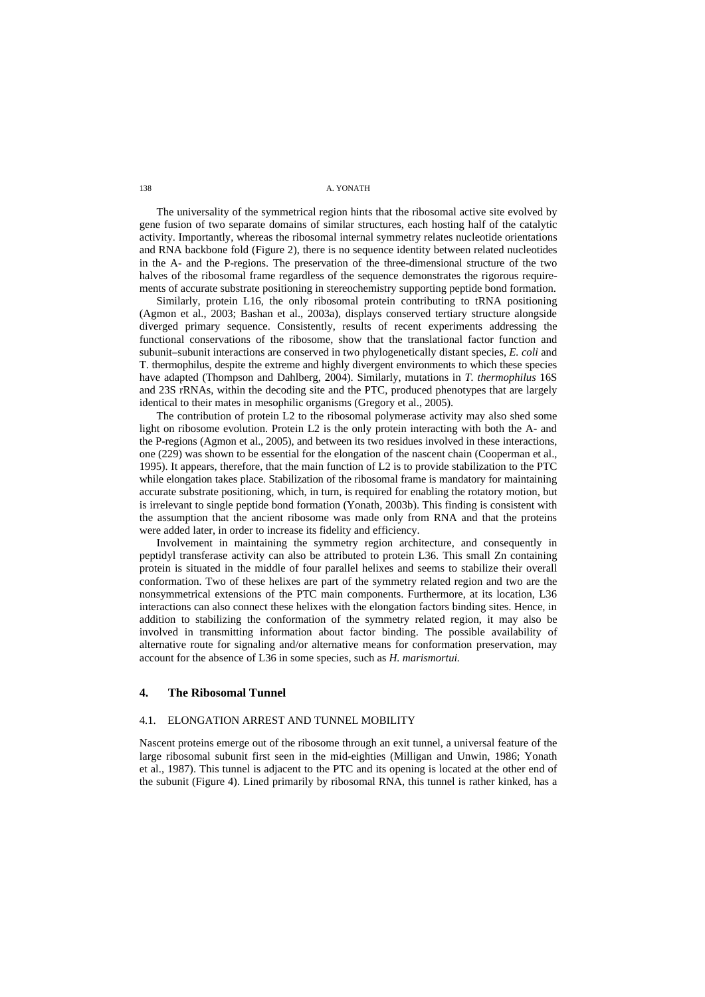The universality of the symmetrical region hints that the ribosomal active site evolved by gene fusion of two separate domains of similar structures, each hosting half of the catalytic activity. Importantly, whereas the ribosomal internal symmetry relates nucleotide orientations and RNA backbone fold (Figure 2), there is no sequence identity between related nucleotides in the A- and the P-regions. The preservation of the three-dimensional structure of the two halves of the ribosomal frame regardless of the sequence demonstrates the rigorous requirements of accurate substrate positioning in stereochemistry supporting peptide bond formation.

Similarly, protein L16, the only ribosomal protein contributing to tRNA positioning (Agmon et al., 2003; Bashan et al., 2003a), displays conserved tertiary structure alongside diverged primary sequence. Consistently, results of recent experiments addressing the functional conservations of the ribosome, show that the translational factor function and subunit–subunit interactions are conserved in two phylogenetically distant species, *E. coli* and T. thermophilus, despite the extreme and highly divergent environments to which these species have adapted (Thompson and Dahlberg, 2004). Similarly, mutations in *T. thermophilus* 16S and 23S rRNAs, within the decoding site and the PTC, produced phenotypes that are largely identical to their mates in mesophilic organisms (Gregory et al., 2005).

The contribution of protein L2 to the ribosomal polymerase activity may also shed some light on ribosome evolution. Protein L2 is the only protein interacting with both the A- and the P-regions (Agmon et al., 2005), and between its two residues involved in these interactions, one (229) was shown to be essential for the elongation of the nascent chain (Cooperman et al., 1995). It appears, therefore, that the main function of L2 is to provide stabilization to the PTC while elongation takes place. Stabilization of the ribosomal frame is mandatory for maintaining accurate substrate positioning, which, in turn, is required for enabling the rotatory motion, but is irrelevant to single peptide bond formation (Yonath, 2003b). This finding is consistent with the assumption that the ancient ribosome was made only from RNA and that the proteins were added later, in order to increase its fidelity and efficiency.

Involvement in maintaining the symmetry region architecture, and consequently in peptidyl transferase activity can also be attributed to protein L36. This small Zn containing protein is situated in the middle of four parallel helixes and seems to stabilize their overall conformation. Two of these helixes are part of the symmetry related region and two are the nonsymmetrical extensions of the PTC main components. Furthermore, at its location, L36 interactions can also connect these helixes with the elongation factors binding sites. Hence, in addition to stabilizing the conformation of the symmetry related region, it may also be involved in transmitting information about factor binding. The possible availability of alternative route for signaling and/or alternative means for conformation preservation, may account for the absence of L36 in some species, such as *H. marismortui.*

# **4. The Ribosomal Tunnel**

### 4.1. ELONGATION ARREST AND TUNNEL MOBILITY

Nascent proteins emerge out of the ribosome through an exit tunnel, a universal feature of the large ribosomal subunit first seen in the mid-eighties (Milligan and Unwin, 1986; Yonath et al., 1987). This tunnel is adjacent to the PTC and its opening is located at the other end of the subunit (Figure 4). Lined primarily by ribosomal RNA, this tunnel is rather kinked, has a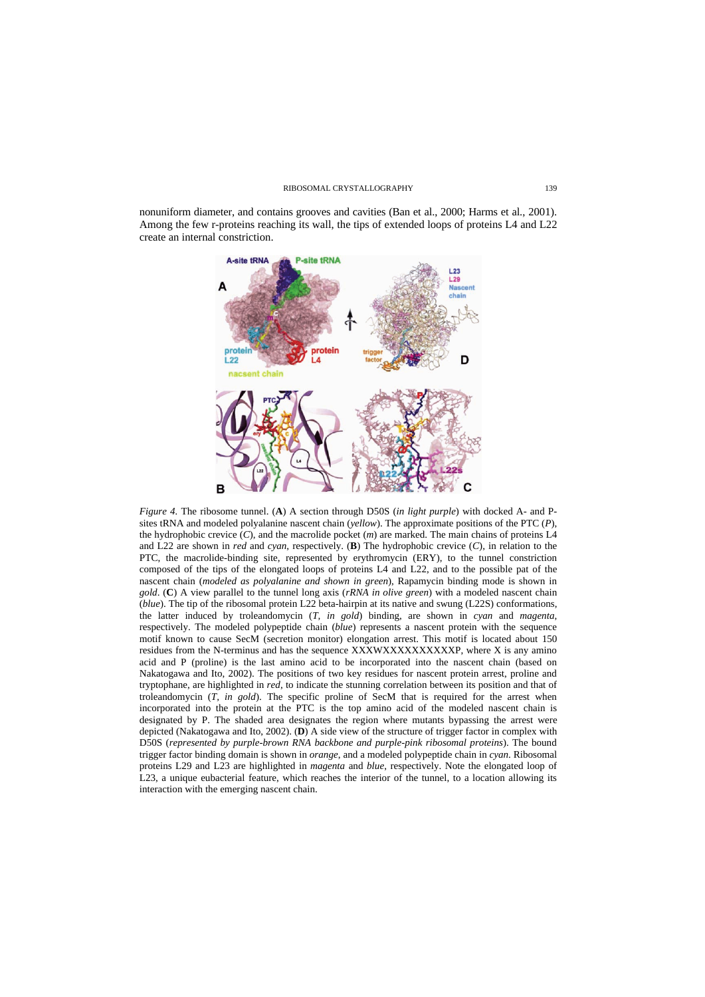nonuniform diameter, and contains grooves and cavities (Ban et al., 2000; Harms et al., 2001). Among the few r-proteins reaching its wall, the tips of extended loops of proteins L4 and L22 create an internal constriction.



*Figure 4.* The ribosome tunnel. (**A**) A section through D50S (*in light purple*) with docked A- and Psites tRNA and modeled polyalanine nascent chain (*yellow*). The approximate positions of the PTC (*P*), the hydrophobic crevice (*C*), and the macrolide pocket (*m*) are marked. The main chains of proteins L4 and L22 are shown in *red* and *cyan*, respectively. (**B**) The hydrophobic crevice (*C*), in relation to the PTC, the macrolide-binding site, represented by erythromycin (ERY), to the tunnel constriction composed of the tips of the elongated loops of proteins L4 and L22, and to the possible pat of the nascent chain (*modeled as polyalanine and shown in green*), Rapamycin binding mode is shown in *gold*. (**C**) A view parallel to the tunnel long axis (*rRNA in olive green*) with a modeled nascent chain (*blue*). The tip of the ribosomal protein L22 beta-hairpin at its native and swung (L22S) conformations, the latter induced by troleandomycin (*T, in gold*) binding, are shown in *cyan* and *magenta*, respectively. The modeled polypeptide chain (*blue*) represents a nascent protein with the sequence motif known to cause SecM (secretion monitor) elongation arrest. This motif is located about 150 residues from the N-terminus and has the sequence XXXWXXXXXXXXXXP, where X is any amino acid and P (proline) is the last amino acid to be incorporated into the nascent chain (based on Nakatogawa and Ito, 2002). The positions of two key residues for nascent protein arrest, proline and tryptophane, are highlighted in *red*, to indicate the stunning correlation between its position and that of troleandomycin (*T, in gold*). The specific proline of SecM that is required for the arrest when incorporated into the protein at the PTC is the top amino acid of the modeled nascent chain is designated by P. The shaded area designates the region where mutants bypassing the arrest were depicted (Nakatogawa and Ito, 2002). (**D**) A side view of the structure of trigger factor in complex with D50S (*represented by purple-brown RNA backbone and purple-pink ribosomal proteins*). The bound trigger factor binding domain is shown in *orange*, and a modeled polypeptide chain in *cyan*. Ribosomal proteins L29 and L23 are highlighted in *magenta* and *blue*, respectively. Note the elongated loop of L23, a unique eubacterial feature, which reaches the interior of the tunnel, to a location allowing its interaction with the emerging nascent chain.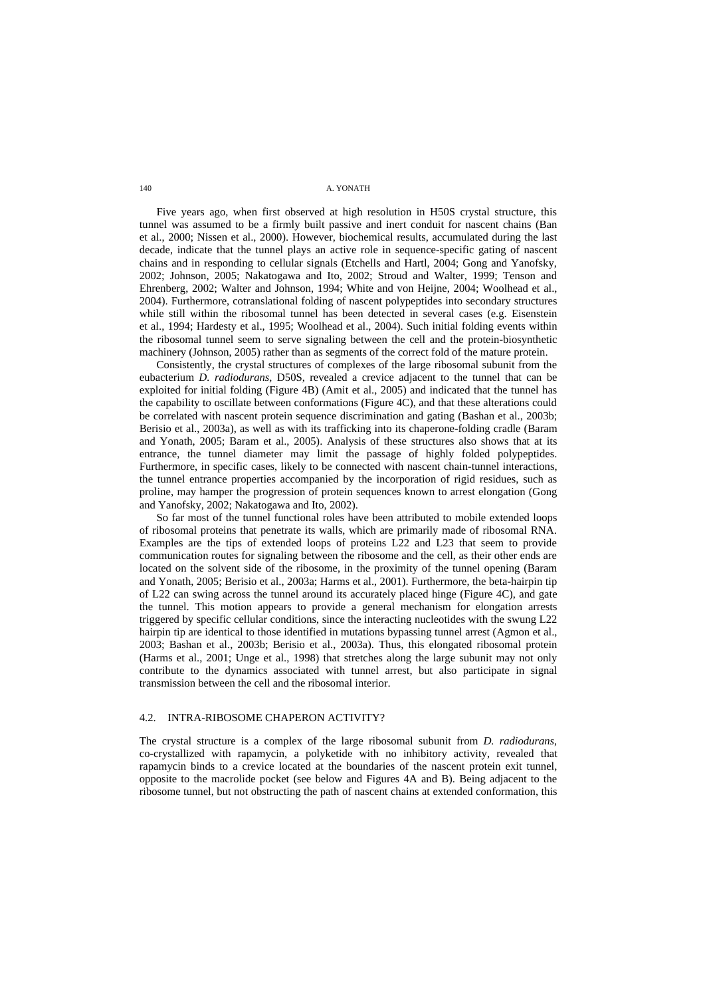Five years ago, when first observed at high resolution in H50S crystal structure, this tunnel was assumed to be a firmly built passive and inert conduit for nascent chains (Ban et al., 2000; Nissen et al., 2000). However, biochemical results, accumulated during the last decade, indicate that the tunnel plays an active role in sequence-specific gating of nascent chains and in responding to cellular signals (Etchells and Hartl, 2004; Gong and Yanofsky, 2002; Johnson, 2005; Nakatogawa and Ito, 2002; Stroud and Walter, 1999; Tenson and Ehrenberg, 2002; Walter and Johnson, 1994; White and von Heijne, 2004; Woolhead et al., 2004). Furthermore, cotranslational folding of nascent polypeptides into secondary structures while still within the ribosomal tunnel has been detected in several cases (e.g. Eisenstein et al., 1994; Hardesty et al., 1995; Woolhead et al., 2004). Such initial folding events within the ribosomal tunnel seem to serve signaling between the cell and the protein-biosynthetic machinery (Johnson, 2005) rather than as segments of the correct fold of the mature protein.

Consistently, the crystal structures of complexes of the large ribosomal subunit from the eubacterium *D. radiodurans,* D50S, revealed a crevice adjacent to the tunnel that can be exploited for initial folding (Figure 4B) (Amit et al., 2005) and indicated that the tunnel has the capability to oscillate between conformations (Figure 4C), and that these alterations could be correlated with nascent protein sequence discrimination and gating (Bashan et al., 2003b; Berisio et al., 2003a), as well as with its trafficking into its chaperone-folding cradle (Baram and Yonath, 2005; Baram et al., 2005). Analysis of these structures also shows that at its entrance, the tunnel diameter may limit the passage of highly folded polypeptides. Furthermore, in specific cases, likely to be connected with nascent chain-tunnel interactions, the tunnel entrance properties accompanied by the incorporation of rigid residues, such as proline, may hamper the progression of protein sequences known to arrest elongation (Gong and Yanofsky, 2002; Nakatogawa and Ito, 2002).

So far most of the tunnel functional roles have been attributed to mobile extended loops of ribosomal proteins that penetrate its walls, which are primarily made of ribosomal RNA. Examples are the tips of extended loops of proteins L22 and L23 that seem to provide communication routes for signaling between the ribosome and the cell, as their other ends are located on the solvent side of the ribosome, in the proximity of the tunnel opening (Baram and Yonath, 2005; Berisio et al., 2003a; Harms et al., 2001). Furthermore, the beta-hairpin tip of L22 can swing across the tunnel around its accurately placed hinge (Figure 4C), and gate the tunnel. This motion appears to provide a general mechanism for elongation arrests triggered by specific cellular conditions, since the interacting nucleotides with the swung L22 hairpin tip are identical to those identified in mutations bypassing tunnel arrest (Agmon et al., 2003; Bashan et al., 2003b; Berisio et al., 2003a). Thus, this elongated ribosomal protein (Harms et al., 2001; Unge et al., 1998) that stretches along the large subunit may not only contribute to the dynamics associated with tunnel arrest, but also participate in signal transmission between the cell and the ribosomal interior.

# 4.2. INTRA-RIBOSOME CHAPERON ACTIVITY?

The crystal structure is a complex of the large ribosomal subunit from *D. radiodurans*, co-crystallized with rapamycin, a polyketide with no inhibitory activity, revealed that rapamycin binds to a crevice located at the boundaries of the nascent protein exit tunnel, opposite to the macrolide pocket (see below and Figures 4A and B). Being adjacent to the ribosome tunnel, but not obstructing the path of nascent chains at extended conformation, this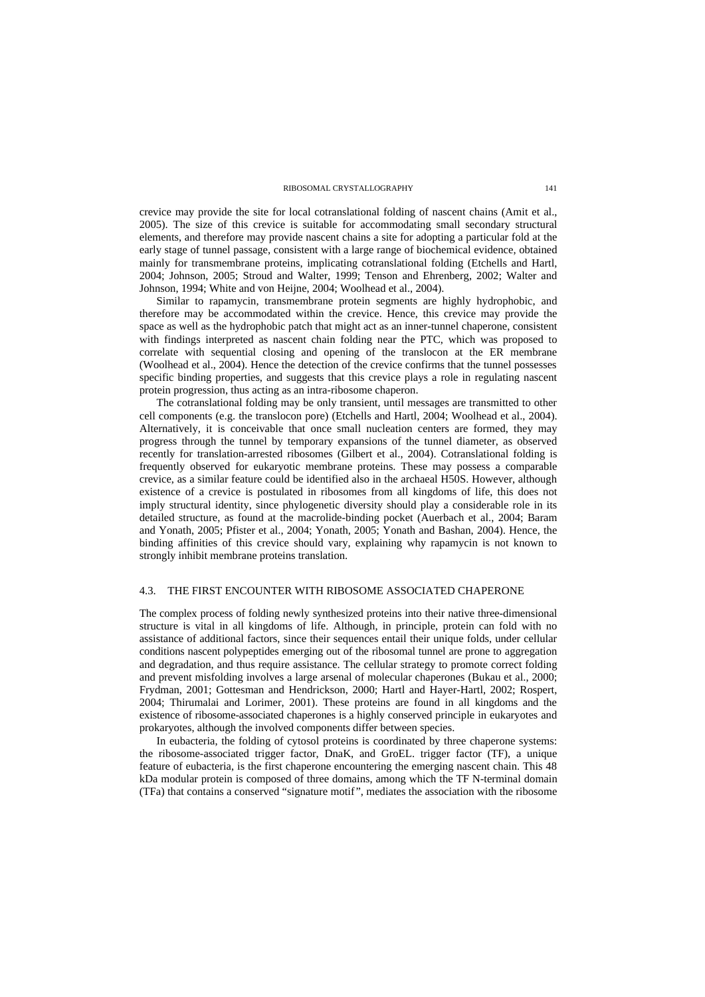crevice may provide the site for local cotranslational folding of nascent chains (Amit et al., 2005). The size of this crevice is suitable for accommodating small secondary structural elements, and therefore may provide nascent chains a site for adopting a particular fold at the early stage of tunnel passage, consistent with a large range of biochemical evidence, obtained mainly for transmembrane proteins, implicating cotranslational folding (Etchells and Hartl, 2004; Johnson, 2005; Stroud and Walter, 1999; Tenson and Ehrenberg, 2002; Walter and Johnson, 1994; White and von Heijne, 2004; Woolhead et al., 2004).

Similar to rapamycin, transmembrane protein segments are highly hydrophobic, and therefore may be accommodated within the crevice. Hence, this crevice may provide the space as well as the hydrophobic patch that might act as an inner-tunnel chaperone, consistent with findings interpreted as nascent chain folding near the PTC, which was proposed to correlate with sequential closing and opening of the translocon at the ER membrane (Woolhead et al., 2004). Hence the detection of the crevice confirms that the tunnel possesses specific binding properties, and suggests that this crevice plays a role in regulating nascent protein progression, thus acting as an intra-ribosome chaperon.

The cotranslational folding may be only transient, until messages are transmitted to other cell components (e.g. the translocon pore) (Etchells and Hartl, 2004; Woolhead et al., 2004). Alternatively, it is conceivable that once small nucleation centers are formed, they may progress through the tunnel by temporary expansions of the tunnel diameter, as observed recently for translation-arrested ribosomes (Gilbert et al., 2004). Cotranslational folding is frequently observed for eukaryotic membrane proteins. These may possess a comparable crevice, as a similar feature could be identified also in the archaeal H50S. However, although existence of a crevice is postulated in ribosomes from all kingdoms of life, this does not imply structural identity, since phylogenetic diversity should play a considerable role in its detailed structure, as found at the macrolide-binding pocket (Auerbach et al., 2004; Baram and Yonath, 2005; Pfister et al., 2004; Yonath, 2005; Yonath and Bashan, 2004). Hence, the binding affinities of this crevice should vary, explaining why rapamycin is not known to strongly inhibit membrane proteins translation.

### 4.3. THE FIRST ENCOUNTER WITH RIBOSOME ASSOCIATED CHAPERONE

The complex process of folding newly synthesized proteins into their native three-dimensional structure is vital in all kingdoms of life. Although, in principle, protein can fold with no assistance of additional factors, since their sequences entail their unique folds, under cellular conditions nascent polypeptides emerging out of the ribosomal tunnel are prone to aggregation and degradation, and thus require assistance. The cellular strategy to promote correct folding and prevent misfolding involves a large arsenal of molecular chaperones (Bukau et al., 2000; Frydman, 2001; Gottesman and Hendrickson, 2000; Hartl and Hayer-Hartl, 2002; Rospert, 2004; Thirumalai and Lorimer, 2001). These proteins are found in all kingdoms and the existence of ribosome-associated chaperones is a highly conserved principle in eukaryotes and prokaryotes, although the involved components differ between species.

In eubacteria, the folding of cytosol proteins is coordinated by three chaperone systems: the ribosome-associated trigger factor, DnaK, and GroEL. trigger factor (TF), a unique feature of eubacteria, is the first chaperone encountering the emerging nascent chain. This 48 kDa modular protein is composed of three domains, among which the TF N-terminal domain (TFa) that contains a conserved "signature motif", mediates the association with the ribosome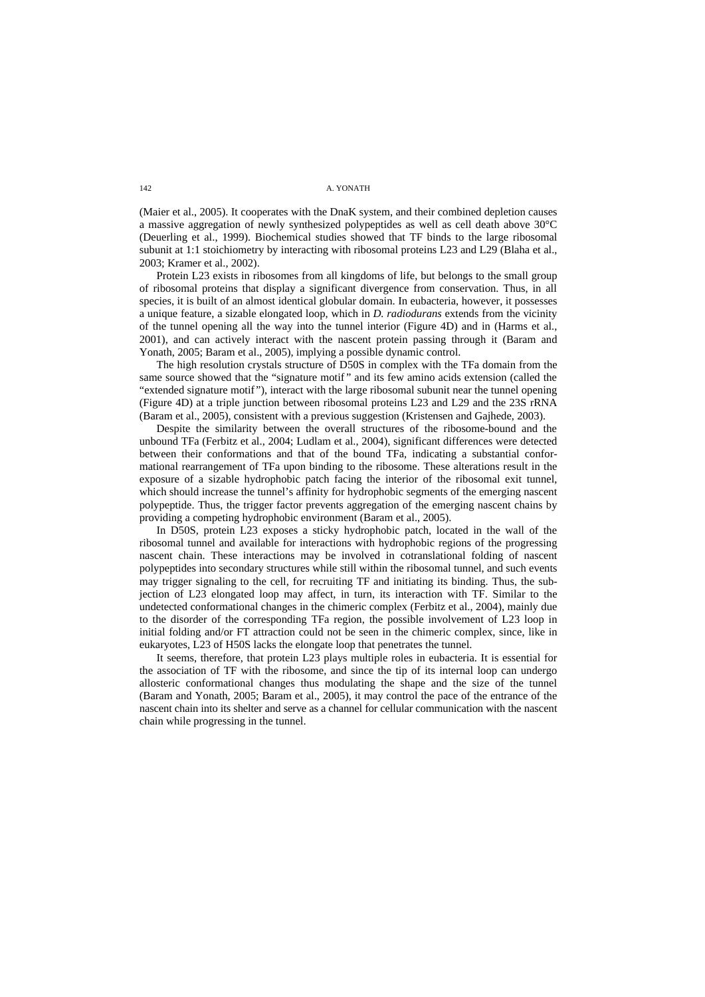(Maier et al., 2005). It cooperates with the DnaK system, and their combined depletion causes a massive aggregation of newly synthesized polypeptides as well as cell death above 30°C (Deuerling et al., 1999). Biochemical studies showed that TF binds to the large ribosomal subunit at 1:1 stoichiometry by interacting with ribosomal proteins L23 and L29 (Blaha et al., 2003; Kramer et al., 2002).

Protein L23 exists in ribosomes from all kingdoms of life, but belongs to the small group of ribosomal proteins that display a significant divergence from conservation. Thus, in all species, it is built of an almost identical globular domain. In eubacteria, however, it possesses a unique feature, a sizable elongated loop, which in *D. radiodurans* extends from the vicinity of the tunnel opening all the way into the tunnel interior (Figure 4D) and in (Harms et al., 2001), and can actively interact with the nascent protein passing through it (Baram and Yonath, 2005; Baram et al., 2005), implying a possible dynamic control.

The high resolution crystals structure of D50S in complex with the TFa domain from the same source showed that the "signature motif" and its few amino acids extension (called the "extended signature motif"), interact with the large ribosomal subunit near the tunnel opening (Figure 4D) at a triple junction between ribosomal proteins L23 and L29 and the 23S rRNA (Baram et al., 2005), consistent with a previous suggestion (Kristensen and Gajhede, 2003).

Despite the similarity between the overall structures of the ribosome-bound and the unbound TFa (Ferbitz et al., 2004; Ludlam et al., 2004), significant differences were detected between their conformations and that of the bound TFa, indicating a substantial conformational rearrangement of TFa upon binding to the ribosome. These alterations result in the exposure of a sizable hydrophobic patch facing the interior of the ribosomal exit tunnel, which should increase the tunnel's affinity for hydrophobic segments of the emerging nascent polypeptide. Thus, the trigger factor prevents aggregation of the emerging nascent chains by providing a competing hydrophobic environment (Baram et al., 2005).

In D50S, protein L23 exposes a sticky hydrophobic patch, located in the wall of the ribosomal tunnel and available for interactions with hydrophobic regions of the progressing nascent chain. These interactions may be involved in cotranslational folding of nascent polypeptides into secondary structures while still within the ribosomal tunnel, and such events may trigger signaling to the cell, for recruiting TF and initiating its binding. Thus, the subjection of L23 elongated loop may affect, in turn, its interaction with TF. Similar to the undetected conformational changes in the chimeric complex (Ferbitz et al., 2004), mainly due to the disorder of the corresponding TFa region, the possible involvement of L23 loop in initial folding and/or FT attraction could not be seen in the chimeric complex, since, like in eukaryotes, L23 of H50S lacks the elongate loop that penetrates the tunnel.

It seems, therefore, that protein L23 plays multiple roles in eubacteria. It is essential for the association of TF with the ribosome, and since the tip of its internal loop can undergo allosteric conformational changes thus modulating the shape and the size of the tunnel (Baram and Yonath, 2005; Baram et al., 2005), it may control the pace of the entrance of the nascent chain into its shelter and serve as a channel for cellular communication with the nascent chain while progressing in the tunnel.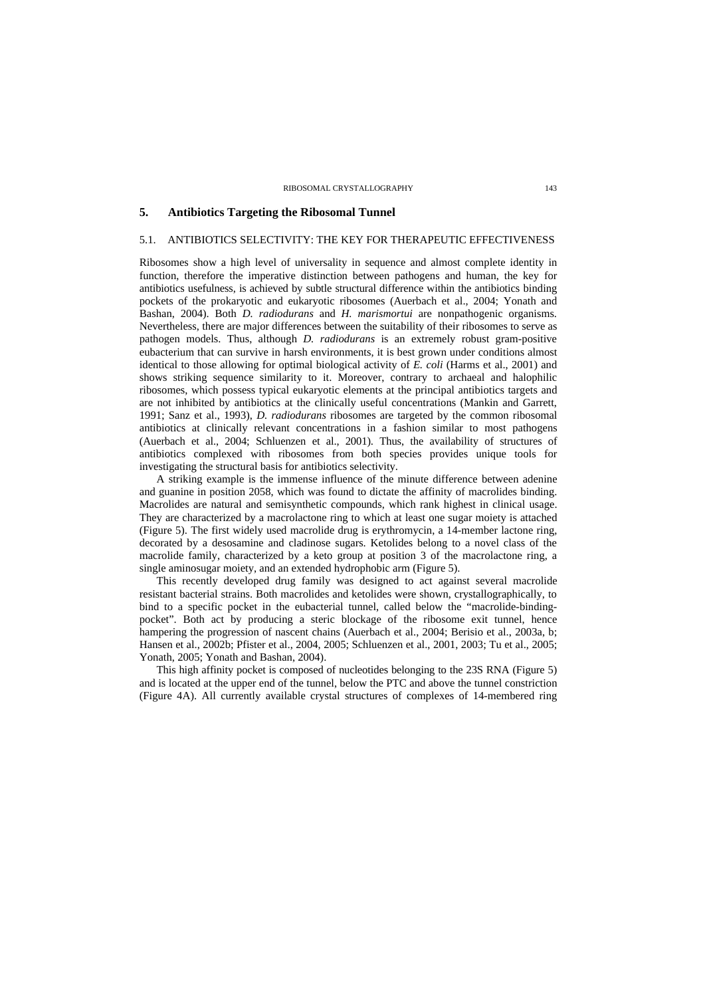# **5. Antibiotics Targeting the Ribosomal Tunnel**

# 5.1. ANTIBIOTICS SELECTIVITY: THE KEY FOR THERAPEUTIC EFFECTIVENESS

Ribosomes show a high level of universality in sequence and almost complete identity in function, therefore the imperative distinction between pathogens and human, the key for antibiotics usefulness, is achieved by subtle structural difference within the antibiotics binding pockets of the prokaryotic and eukaryotic ribosomes (Auerbach et al., 2004; Yonath and Bashan, 2004). Both *D. radiodurans* and *H. marismortui* are nonpathogenic organisms. Nevertheless, there are major differences between the suitability of their ribosomes to serve as pathogen models. Thus, although *D. radiodurans* is an extremely robust gram-positive eubacterium that can survive in harsh environments, it is best grown under conditions almost identical to those allowing for optimal biological activity of *E. coli* (Harms et al., 2001) and shows striking sequence similarity to it. Moreover, contrary to archaeal and halophilic ribosomes, which possess typical eukaryotic elements at the principal antibiotics targets and are not inhibited by antibiotics at the clinically useful concentrations (Mankin and Garrett, 1991; Sanz et al., 1993), *D. radiodurans* ribosomes are targeted by the common ribosomal antibiotics at clinically relevant concentrations in a fashion similar to most pathogens (Auerbach et al., 2004; Schluenzen et al., 2001). Thus, the availability of structures of antibiotics complexed with ribosomes from both species provides unique tools for investigating the structural basis for antibiotics selectivity.

A striking example is the immense influence of the minute difference between adenine and guanine in position 2058, which was found to dictate the affinity of macrolides binding. Macrolides are natural and semisynthetic compounds, which rank highest in clinical usage. They are characterized by a macrolactone ring to which at least one sugar moiety is attached (Figure 5). The first widely used macrolide drug is erythromycin, a 14-member lactone ring, decorated by a desosamine and cladinose sugars. Ketolides belong to a novel class of the macrolide family, characterized by a keto group at position 3 of the macrolactone ring, a single aminosugar moiety, and an extended hydrophobic arm (Figure 5).

This recently developed drug family was designed to act against several macrolide resistant bacterial strains. Both macrolides and ketolides were shown, crystallographically, to bind to a specific pocket in the eubacterial tunnel, called below the "macrolide-bindingpocket". Both act by producing a steric blockage of the ribosome exit tunnel, hence hampering the progression of nascent chains (Auerbach et al., 2004; Berisio et al., 2003a, b; Hansen et al., 2002b; Pfister et al., 2004, 2005; Schluenzen et al., 2001, 2003; Tu et al., 2005; Yonath, 2005; Yonath and Bashan, 2004).

This high affinity pocket is composed of nucleotides belonging to the 23S RNA (Figure 5) and is located at the upper end of the tunnel, below the PTC and above the tunnel constriction (Figure 4A). All currently available crystal structures of complexes of 14-membered ring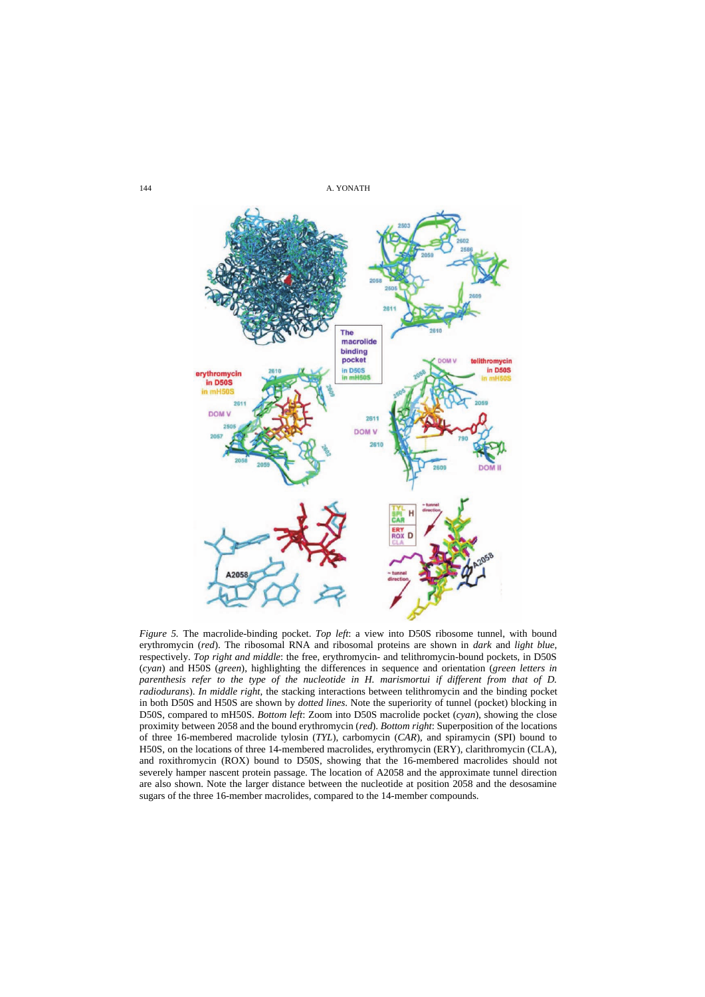

*Figure 5.* The macrolide-binding pocket. *Top left*: a view into D50S ribosome tunnel, with bound erythromycin (*red*). The ribosomal RNA and ribosomal proteins are shown in *dark* and *light blue*, (*cyan*) and H50S (*green*), highlighting the differences in sequence and orientation (*green letters in parenthesis refer to the type of the nucleotide in H. marismortui if different from that of D. radiodurans*). *In middle right*, the stacking interactions between telithromycin and the binding pocket in both D50S and H50S are shown by *dotted lines*. Note the superiority of tunnel (pocket) blocking in of three 16-membered macrolide tylosin (*TYL*), carbomycin (*CAR*), and spiramycin (SPI) bound to H50S, on the locations of three 14-membered macrolides, erythromycin (ERY), clarithromycin (CLA), and roxithromycin (ROX) bound to D50S, showing that the 16-membered macrolides should not severely hamper nascent protein passage. The location of A2058 and the approximate tunnel direction are also shown. Note the larger distance between the nucleotide at position 2058 and the desosamine sugars of the three 16-member macrolides, compared to the 14-member compounds. respectively. *Top right and middle*: the free, erythromycin- and telithromycin-bound pockets, in D50S D50S, compared to mH50S. *Bottom left*: Zoom into D50S macrolide pocket (*cyan*), showing the close proximity between 2058 and the bound erythromycin (*red*). *Bottom right*: Superposition of the locations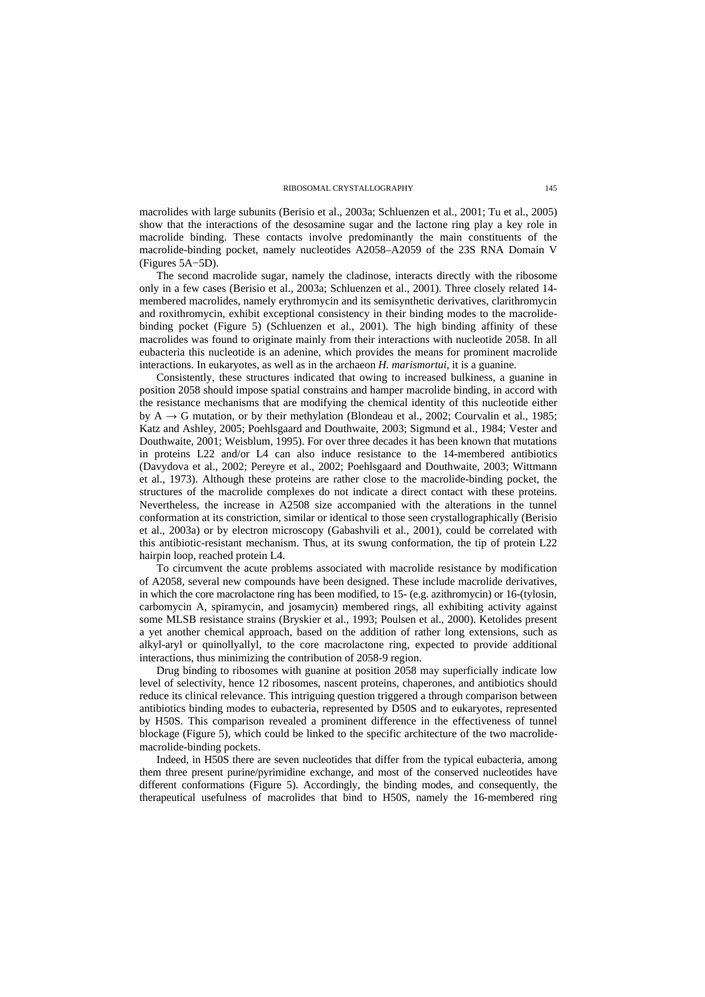macrolides with large subunits (Berisio et al., 2003a; Schluenzen et al., 2001; Tu et al., 2005) show that the interactions of the desosamine sugar and the lactone ring play a key role in macrolide binding. These contacts involve predominantly the main constituents of the macrolide-binding pocket, namely nucleotides A2058–A2059 of the 23S RNA Domain V (Figures 5A−5D).

The second macrolide sugar, namely the cladinose, interacts directly with the ribosome only in a few cases (Berisio et al., 2003a; Schluenzen et al., 2001). Three closely related 14 membered macrolides, namely erythromycin and its semisynthetic derivatives, clarithromycin and roxithromycin, exhibit exceptional consistency in their binding modes to the macrolidebinding pocket (Figure 5) (Schluenzen et al., 2001). The high binding affinity of these macrolides was found to originate mainly from their interactions with nucleotide 2058. In all eubacteria this nucleotide is an adenine, which provides the means for prominent macrolide interactions. In eukaryotes, as well as in the archaeon *H. marismortui,* it is a guanine.

Consistently, these structures indicated that owing to increased bulkiness, a guanine in position 2058 should impose spatial constrains and hamper macrolide binding, in accord with the resistance mechanisms that are modifying the chemical identity of this nucleotide either by  $A \rightarrow G$  mutation, or by their methylation (Blondeau et al., 2002; Courvalin et al., 1985; Katz and Ashley, 2005; Poehlsgaard and Douthwaite, 2003; Sigmund et al., 1984; Vester and Douthwaite, 2001; Weisblum, 1995). For over three decades it has been known that mutations in proteins L22 and/or L4 can also induce resistance to the 14-membered antibiotics (Davydova et al., 2002; Pereyre et al., 2002; Poehlsgaard and Douthwaite, 2003; Wittmann et al., 1973). Although these proteins are rather close to the macrolide-binding pocket, the structures of the macrolide complexes do not indicate a direct contact with these proteins. Nevertheless, the increase in A2508 size accompanied with the alterations in the tunnel conformation at its constriction, similar or identical to those seen crystallographically (Berisio et al., 2003a) or by electron microscopy (Gabashvili et al., 2001), could be correlated with this antibiotic-resistant mechanism. Thus, at its swung conformation, the tip of protein L22 hairpin loop, reached protein L4.

To circumvent the acute problems associated with macrolide resistance by modification of A2058, several new compounds have been designed. These include macrolide derivatives, in which the core macrolactone ring has been modified, to 15- (e.g. azithromycin) or 16-(tylosin, carbomycin A, spiramycin, and josamycin) membered rings, all exhibiting activity against some MLSB resistance strains (Bryskier et al., 1993; Poulsen et al., 2000). Ketolides present a yet another chemical approach, based on the addition of rather long extensions, such as alkyl-aryl or quinollyallyl, to the core macrolactone ring, expected to provide additional interactions, thus minimizing the contribution of 2058-9 region.

Drug binding to ribosomes with guanine at position 2058 may superficially indicate low level of selectivity, hence 12 ribosomes, nascent proteins, chaperones, and antibiotics should reduce its clinical relevance. This intriguing question triggered a through comparison between antibiotics binding modes to eubacteria, represented by D50S and to eukaryotes, represented by H50S. This comparison revealed a prominent difference in the effectiveness of tunnel macrolide-binding pockets. blockage (Figure 5), which could be linked to the specific architecture of the two macrolide-

Indeed, in H50S there are seven nucleotides that differ from the typical eubacteria, among them three present purine/pyrimidine exchange, and most of the conserved nucleotides have different conformations (Figure 5). Accordingly, the binding modes, and consequently, the therapeutical usefulness of macrolides that bind to H50S, namely the 16-membered ring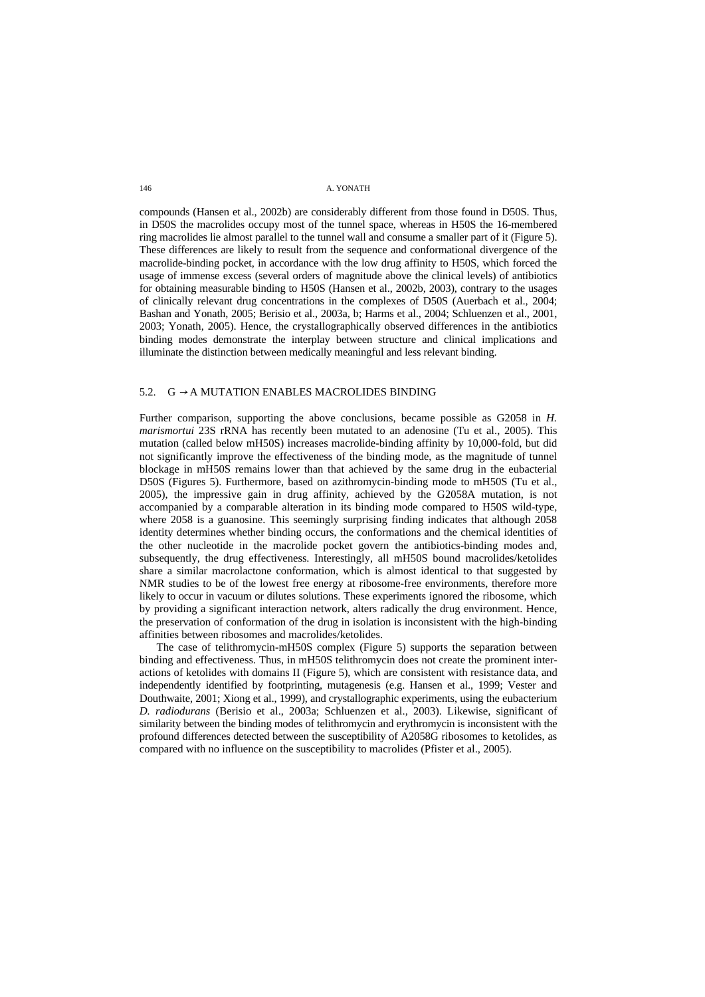compounds (Hansen et al., 2002b) are considerably different from those found in D50S. Thus, in D50S the macrolides occupy most of the tunnel space, whereas in H50S the 16-membered ring macrolides lie almost parallel to the tunnel wall and consume a smaller part of it (Figure 5). These differences are likely to result from the sequence and conformational divergence of the macrolide-binding pocket, in accordance with the low drug affinity to H50S, which forced the usage of immense excess (several orders of magnitude above the clinical levels) of antibiotics for obtaining measurable binding to H50S (Hansen et al., 2002b, 2003), contrary to the usages of clinically relevant drug concentrations in the complexes of D50S (Auerbach et al., 2004; Bashan and Yonath, 2005; Berisio et al., 2003a, b; Harms et al., 2004; Schluenzen et al., 2001, binding modes demonstrate the interplay between structure and clinical implications and illuminate the distinction between medically meaningful and less relevant binding. 2003; Yonath, 2005). Hence, the crystallographically observed differences in the antibiotics

### 5.2.  $G \rightarrow A$  MUTATION ENABLES MACROLIDES BINDING

Further comparison, supporting the above conclusions, became possible as G2058 in *H. marismortui* 23S rRNA has recently been mutated to an adenosine (Tu et al., 2005). This mutation (called below mH50S) increases macrolide-binding affinity by 10,000-fold, but did not significantly improve the effectiveness of the binding mode, as the magnitude of tunnel blockage in mH50S remains lower than that achieved by the same drug in the eubacterial D50S (Figures 5). Furthermore, based on azithromycin-binding mode to mH50S (Tu et al., 2005), the impressive gain in drug affinity, achieved by the G2058A mutation, is not accompanied by a comparable alteration in its binding mode compared to H50S wild-type, where 2058 is a guanosine. This seemingly surprising finding indicates that although 2058 identity determines whether binding occurs, the conformations and the chemical identities of the other nucleotide in the macrolide pocket govern the antibiotics-binding modes and, subsequently, the drug effectiveness. Interestingly, all mH50S bound macrolides/ketolides share a similar macrolactone conformation, which is almost identical to that suggested by NMR studies to be of the lowest free energy at ribosome-free environments, therefore more likely to occur in vacuum or dilutes solutions. These experiments ignored the ribosome, which by providing a significant interaction network, alters radically the drug environment. Hence, the preservation of conformation of the drug in isolation is inconsistent with the high-binding affinities between ribosomes and macrolides/ketolides.

The case of telithromycin-mH50S complex (Figure 5) supports the separation between binding and effectiveness. Thus, in mH50S telithromycin does not create the prominent interactions of ketolides with domains II (Figure 5), which are consistent with resistance data, and independently identified by footprinting, mutagenesis (e.g. Hansen et al., 1999; Vester and Douthwaite, 2001; Xiong et al., 1999), and crystallographic experiments, using the eubacterium *D. radiodurans* (Berisio et al., 2003a; Schluenzen et al., 2003). Likewise, significant of similarity between the binding modes of telithromycin and erythromycin is inconsistent with the profound differences detected between the susceptibility of A2058G ribosomes to ketolides, as compared with no influence on the susceptibility to macrolides (Pfister et al., 2005).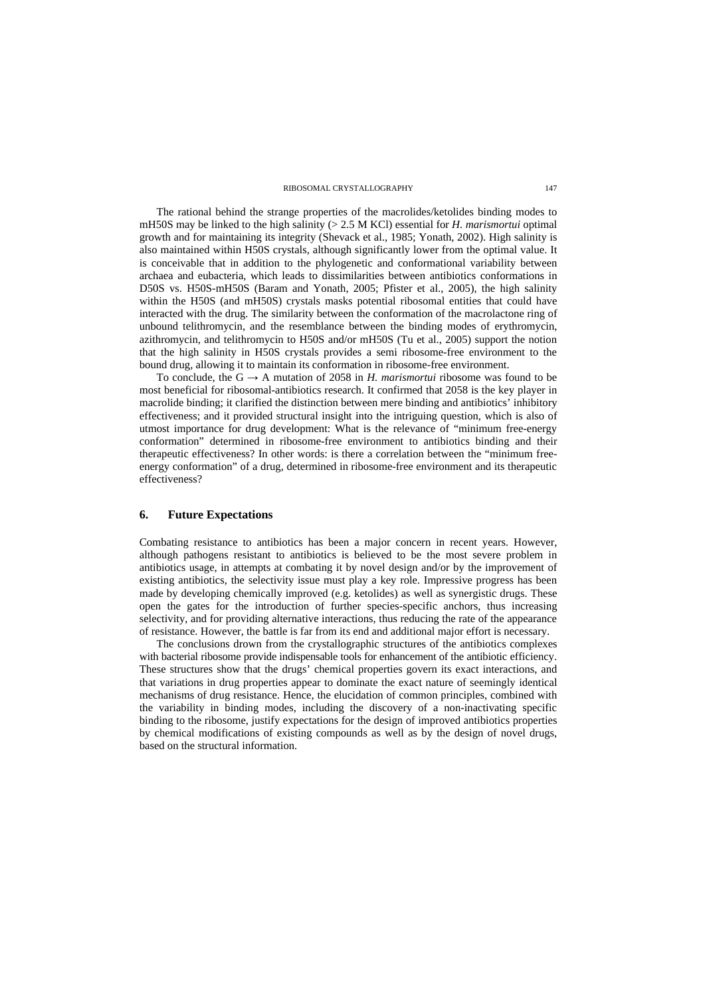The rational behind the strange properties of the macrolides/ketolides binding modes to mH50S may be linked to the high salinity (> 2.5 M KCl) essential for *H. marismortui* optimal growth and for maintaining its integrity (Shevack et al., 1985; Yonath, 2002). High salinity is also maintained within H50S crystals, although significantly lower from the optimal value. It is conceivable that in addition to the phylogenetic and conformational variability between archaea and eubacteria, which leads to dissimilarities between antibiotics conformations in D50S vs. H50S-mH50S (Baram and Yonath, 2005; Pfister et al., 2005), the high salinity within the H50S (and mH50S) crystals masks potential ribosomal entities that could have interacted with the drug. The similarity between the conformation of the macrolactone ring of unbound telithromycin, and the resemblance between the binding modes of erythromycin, azithromycin, and telithromycin to H50S and/or mH50S (Tu et al., 2005) support the notion that the high salinity in H50S crystals provides a semi ribosome-free environment to the bound drug, allowing it to maintain its conformation in ribosome-free environment.

To conclude, the  $G \rightarrow A$  mutation of 2058 in *H. marismortui* ribosome was found to be most beneficial for ribosomal-antibiotics research. It confirmed that 2058 is the key player in macrolide binding; it clarified the distinction between mere binding and antibiotics' inhibitory effectiveness; and it provided structural insight into the intriguing question, which is also of utmost importance for drug development: What is the relevance of "minimum free-energy conformation" determined in ribosome-free environment to antibiotics binding and their therapeutic effectiveness? In other words: is there a correlation between the "minimum freeenergy conformation" of a drug, determined in ribosome-free environment and its therapeutic effectiveness?

### **6. Future Expectations**

Combating resistance to antibiotics has been a major concern in recent years. However, although pathogens resistant to antibiotics is believed to be the most severe problem in antibiotics usage, in attempts at combating it by novel design and/or by the improvement of existing antibiotics, the selectivity issue must play a key role. Impressive progress has been made by developing chemically improved (e.g. ketolides) as well as synergistic drugs. These open the gates for the introduction of further species-specific anchors, thus increasing selectivity, and for providing alternative interactions, thus reducing the rate of the appearance of resistance. However, the battle is far from its end and additional major effort is necessary.

The conclusions drown from the crystallographic structures of the antibiotics complexes with bacterial ribosome provide indispensable tools for enhancement of the antibiotic efficiency. These structures show that the drugs' chemical properties govern its exact interactions, and that variations in drug properties appear to dominate the exact nature of seemingly identical mechanisms of drug resistance. Hence, the elucidation of common principles, combined with the variability in binding modes, including the discovery of a non-inactivating specific binding to the ribosome, justify expectations for the design of improved antibiotics properties by chemical modifications of existing compounds as well as by the design of novel drugs, based on the structural information.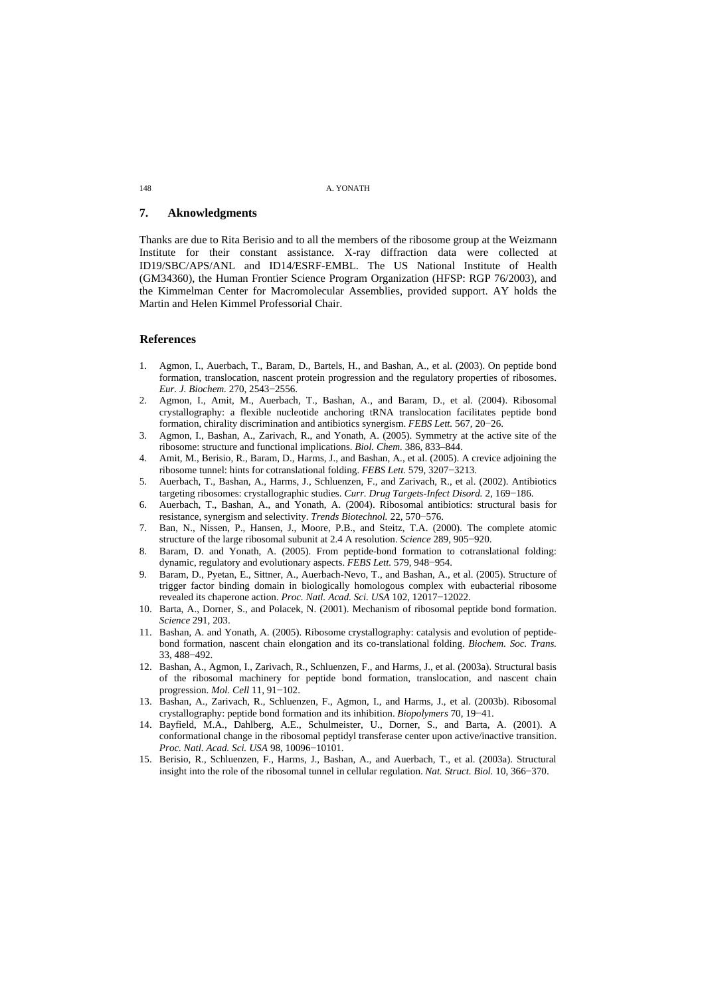# **7. Aknowledgments**

Thanks are due to Rita Berisio and to all the members of the ribosome group at the Weizmann Institute for their constant assistance. X-ray diffraction data were collected at ID19/SBC/APS/ANL and ID14/ESRF-EMBL. The US National Institute of Health (GM34360), the Human Frontier Science Program Organization (HFSP: RGP 76/2003), and the Kimmelman Center for Macromolecular Assemblies, provided support. AY holds the Martin and Helen Kimmel Professorial Chair.

### **References**

- 1. Agmon, I., Auerbach, T., Baram, D., Bartels, H., and Bashan, A., et al. (2003). On peptide bond formation, translocation, nascent protein progression and the regulatory properties of ribosomes. *Eur. J. Biochem.* 270, 2543−2556.
- 2. Agmon, I., Amit, M., Auerbach, T., Bashan, A., and Baram, D., et al. (2004). Ribosomal crystallography: a flexible nucleotide anchoring tRNA translocation facilitates peptide bond formation, chirality discrimination and antibiotics synergism. *FEBS Lett.* 567, 20−26.
- 3. Agmon, I., Bashan, A., Zarivach, R., and Yonath, A. (2005). Symmetry at the active site of the ribosome: structure and functional implications. *Biol. Chem.* 386, 833–844.
- 4. Amit, M., Berisio, R., Baram, D., Harms, J., and Bashan, A., et al. (2005). A crevice adjoining the ribosome tunnel: hints for cotranslational folding. *FEBS Lett.* 579, 3207−3213.
- 5. Auerbach, T., Bashan, A., Harms, J., Schluenzen, F., and Zarivach, R., et al. (2002). Antibiotics targeting ribosomes: crystallographic studies. *Curr. Drug Targets-Infect Disord.* 2, 169−186.
- 6. Auerbach, T., Bashan, A., and Yonath, A. (2004). Ribosomal antibiotics: structural basis for resistance, synergism and selectivity. *Trends Biotechnol.* 22, 570−576.
- 7. Ban, N., Nissen, P., Hansen, J., Moore, P.B., and Steitz, T.A. (2000). The complete atomic structure of the large ribosomal subunit at 2.4 A resolution. *Science* 289, 905−920.
- 8. Baram, D. and Yonath, A. (2005). From peptide-bond formation to cotranslational folding: dynamic, regulatory and evolutionary aspects. *FEBS Lett.* 579, 948−954.
- 9. Baram, D., Pyetan, E., Sittner, A., Auerbach-Nevo, T., and Bashan, A., et al. (2005). Structure of trigger factor binding domain in biologically homologous complex with eubacterial ribosome revealed its chaperone action. *Proc. Natl. Acad. Sci. USA* 102, 12017−12022.
- 10. Barta, A., Dorner, S., and Polacek, N. (2001). Mechanism of ribosomal peptide bond formation. *Science* 291, 203.
- 11. Bashan, A. and Yonath, A. (2005). Ribosome crystallography: catalysis and evolution of peptidebond formation, nascent chain elongation and its co-translational folding. *Biochem. Soc. Trans.* 33, 488−492.
- 12. Bashan, A., Agmon, I., Zarivach, R., Schluenzen, F., and Harms, J., et al. (2003a). Structural basis of the ribosomal machinery for peptide bond formation, translocation, and nascent chain progression. *Mol. Cell* 11, 91−102.
- 13. Bashan, A., Zarivach, R., Schluenzen, F., Agmon, I., and Harms, J., et al. (2003b). Ribosomal crystallography: peptide bond formation and its inhibition. *Biopolymers* 70, 19−41.
- 14. Bayfield, M.A., Dahlberg, A.E., Schulmeister, U., Dorner, S., and Barta, A. (2001). A conformational change in the ribosomal peptidyl transferase center upon active/inactive transition. *Proc. Natl. Acad. Sci. USA* 98, 10096−10101.
- 15. Berisio, R., Schluenzen, F., Harms, J., Bashan, A., and Auerbach, T., et al. (2003a). Structural insight into the role of the ribosomal tunnel in cellular regulation. *Nat. Struct. Biol.* 10, 366−370.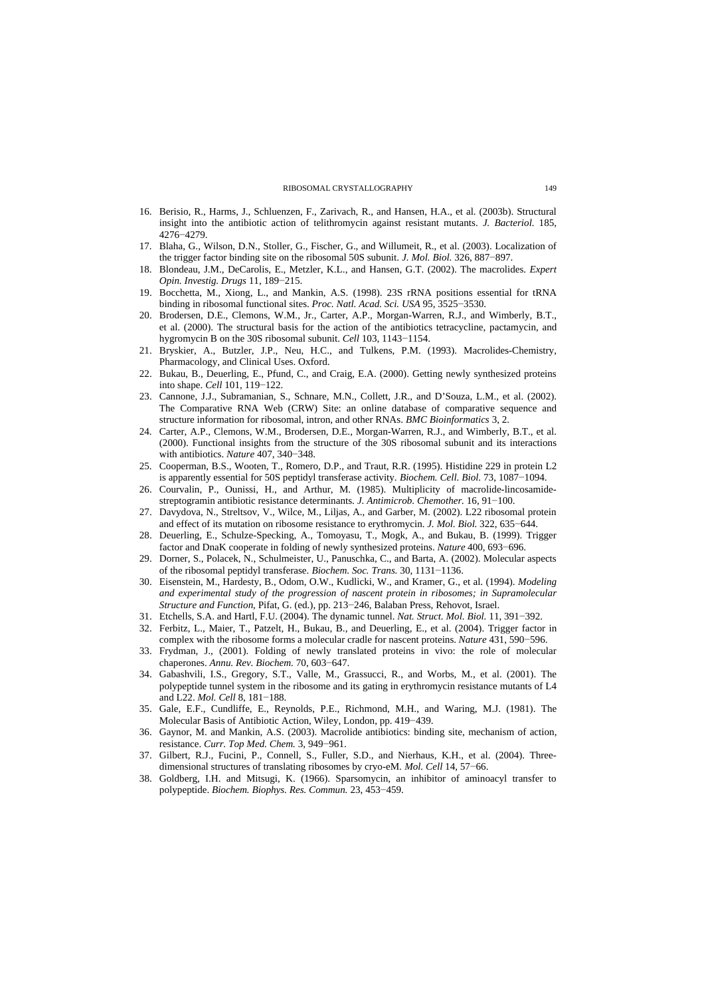- 16. Berisio, R., Harms, J., Schluenzen, F., Zarivach, R., and Hansen, H.A., et al. (2003b). Structural insight into the antibiotic action of telithromycin against resistant mutants. *J. Bacteriol.* 185, 4276−4279.
- 17. Blaha, G., Wilson, D.N., Stoller, G., Fischer, G., and Willumeit, R., et al. (2003). Localization of the trigger factor binding site on the ribosomal 50S subunit. *J. Mol. Biol.* 326, 887−897.
- 18. Blondeau, J.M., DeCarolis, E., Metzler, K.L., and Hansen, G.T. (2002). The macrolides. *Expert Opin. Investig. Drugs* 11, 189−215.
- 19. Bocchetta, M., Xiong, L., and Mankin, A.S. (1998). 23S rRNA positions essential for tRNA binding in ribosomal functional sites. *Proc. Natl. Acad. Sci. USA* 95, 3525−3530.
- 20. Brodersen, D.E., Clemons, W.M., Jr., Carter, A.P., Morgan-Warren, R.J., and Wimberly, B.T., et al. (2000). The structural basis for the action of the antibiotics tetracycline, pactamycin, and hygromycin B on the 30S ribosomal subunit. *Cell* 103, 1143−1154.
- 21. Bryskier, A., Butzler, J.P., Neu, H.C., and Tulkens, P.M. (1993). Macrolides-Chemistry, Pharmacology, and Clinical Uses. Oxford.
- 22. Bukau, B., Deuerling, E., Pfund, C., and Craig, E.A. (2000). Getting newly synthesized proteins into shape. *Cell* 101, 119−122.
- 23. Cannone, J.J., Subramanian, S., Schnare, M.N., Collett, J.R., and D'Souza, L.M., et al. (2002). The Comparative RNA Web (CRW) Site: an online database of comparative sequence and structure information for ribosomal, intron, and other RNAs. *BMC Bioinformatics* 3, 2.
- 24. Carter, A.P., Clemons, W.M., Brodersen, D.E., Morgan-Warren, R.J., and Wimberly, B.T., et al. (2000). Functional insights from the structure of the 30S ribosomal subunit and its interactions with antibiotics. *Nature* 407, 340−348.
- 25. Cooperman, B.S., Wooten, T., Romero, D.P., and Traut, R.R. (1995). Histidine 229 in protein L2 is apparently essential for 50S peptidyl transferase activity. *Biochem. Cell. Biol.* 73, 1087−1094.
- 26. Courvalin, P., Ounissi, H., and Arthur, M. (1985). Multiplicity of macrolide-lincosamidestreptogramin antibiotic resistance determinants. *J. Antimicrob. Chemother.* 16, 91−100.
- 27. Davydova, N., Streltsov, V., Wilce, M., Liljas, A., and Garber, M. (2002). L22 ribosomal protein and effect of its mutation on ribosome resistance to erythromycin. *J. Mol. Biol.* 322, 635−644.
- 28. Deuerling, E., Schulze-Specking, A., Tomoyasu, T., Mogk, A., and Bukau, B. (1999). Trigger factor and DnaK cooperate in folding of newly synthesized proteins. *Nature* 400, 693−696.
- 29. Dorner, S., Polacek, N., Schulmeister, U., Panuschka, C., and Barta, A. (2002). Molecular aspects of the ribosomal peptidyl transferase. *Biochem. Soc. Trans.* 30, 1131−1136.
- 30. Eisenstein, M., Hardesty, B., Odom, O.W., Kudlicki, W., and Kramer, G., et al. (1994). *Modeling and experimental study of the progression of nascent protein in ribosomes; in Supramolecular Structure and Function*, Pifat, G. (ed.), pp. 213−246, Balaban Press, Rehovot, Israel.
- 31. Etchells, S.A. and Hartl, F.U. (2004). The dynamic tunnel. *Nat. Struct. Mol. Biol.* 11, 391−392.
- 32. Ferbitz, L., Maier, T., Patzelt, H., Bukau, B., and Deuerling, E., et al. (2004). Trigger factor in complex with the ribosome forms a molecular cradle for nascent proteins. *Nature* 431, 590−596.
- 33. Frydman, J., (2001). Folding of newly translated proteins in vivo: the role of molecular chaperones. *Annu. Rev. Biochem.* 70, 603−647.
- 34. Gabashvili, I.S., Gregory, S.T., Valle, M., Grassucci, R., and Worbs, M., et al. (2001). The polypeptide tunnel system in the ribosome and its gating in erythromycin resistance mutants of L4 and L22. *Mol. Cell* 8, 181−188.
- 35. Gale, E.F., Cundliffe, E., Reynolds, P.E., Richmond, M.H., and Waring, M.J. (1981). The Molecular Basis of Antibiotic Action, Wiley, London, pp. 419−439.
- 36. Gaynor, M. and Mankin, A.S. (2003). Macrolide antibiotics: binding site, mechanism of action, resistance. *Curr. Top Med. Chem.* 3, 949−961.
- 37. Gilbert, R.J., Fucini, P., Connell, S., Fuller, S.D., and Nierhaus, K.H., et al. (2004). Threedimensional structures of translating ribosomes by cryo-eM. *Mol. Cell* 14, 57−66.
- 38. Goldberg, I.H. and Mitsugi, K. (1966). Sparsomycin, an inhibitor of aminoacyl transfer to polypeptide. *Biochem. Biophys. Res. Commun.* 23, 453−459.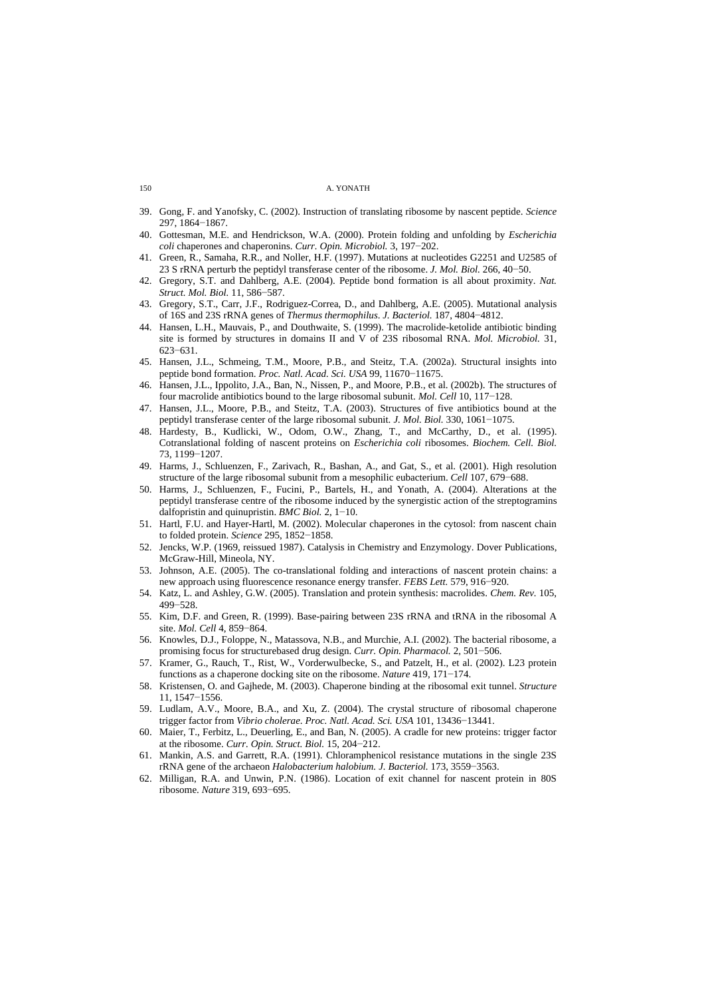| A. YONATH |  |
|-----------|--|
|           |  |

- 39. Gong, F. and Yanofsky, C. (2002). Instruction of translating ribosome by nascent peptide. *Science* 297, 1864−1867.
- 40. Gottesman, M.E. and Hendrickson, W.A. (2000). Protein folding and unfolding by *Escherichia coli* chaperones and chaperonins. *Curr. Opin. Microbiol.* 3, 197−202.
- 41. Green, R., Samaha, R.R., and Noller, H.F. (1997). Mutations at nucleotides G2251 and U2585 of 23 S rRNA perturb the peptidyl transferase center of the ribosome. *J. Mol. Biol.* 266, 40−50.
- 42. Gregory, S.T. and Dahlberg, A.E. (2004). Peptide bond formation is all about proximity. *Nat. Struct. Mol. Biol.* 11, 586−587.
- 43. Gregory, S.T., Carr, J.F., Rodriguez-Correa, D., and Dahlberg, A.E. (2005). Mutational analysis of 16S and 23S rRNA genes of *Thermus thermophilus*. *J. Bacteriol.* 187, 4804−4812.
- 44. Hansen, L.H., Mauvais, P., and Douthwaite, S. (1999). The macrolide-ketolide antibiotic binding site is formed by structures in domains II and V of 23S ribosomal RNA. *Mol. Microbiol.* 31, 623−631.
- 45. Hansen, J.L., Schmeing, T.M., Moore, P.B., and Steitz, T.A. (2002a). Structural insights into peptide bond formation. *Proc. Natl. Acad. Sci. USA* 99, 11670−11675.
- 46. Hansen, J.L., Ippolito, J.A., Ban, N., Nissen, P., and Moore, P.B., et al. (2002b). The structures of four macrolide antibiotics bound to the large ribosomal subunit. *Mol. Cell* 10, 117−128.
- 47. Hansen, J.L., Moore, P.B., and Steitz, T.A. (2003). Structures of five antibiotics bound at the peptidyl transferase center of the large ribosomal subunit. *J. Mol. Biol.* 330, 1061−1075.
- Hardesty, B., Kudlicki, W., Odom, O.W., Zhang, T., and McCarthy, D., et al. (1995). Cotranslational folding of nascent proteins on *Escherichia coli* ribosomes. *Biochem. Cell. Biol.* 73, 1199−1207.
- 49. Harms, J., Schluenzen, F., Zarivach, R., Bashan, A., and Gat, S., et al. (2001). High resolution structure of the large ribosomal subunit from a mesophilic eubacterium. *Cell* 107, 679−688.
- 50. Harms, J., Schluenzen, F., Fucini, P., Bartels, H., and Yonath, A. (2004). Alterations at the peptidyl transferase centre of the ribosome induced by the synergistic action of the streptogramins dalfopristin and quinupristin. *BMC Biol.* 2, 1−10.
- 51. Hartl, F.U. and Hayer-Hartl, M. (2002). Molecular chaperones in the cytosol: from nascent chain to folded protein. *Science* 295, 1852−1858.
- 52. Jencks, W.P. (1969, reissued 1987). Catalysis in Chemistry and Enzymology. Dover Publications, McGraw-Hill, Mineola, NY.
- 53. Johnson, A.E. (2005). The co-translational folding and interactions of nascent protein chains: a new approach using fluorescence resonance energy transfer. *FEBS Lett.* 579, 916−920.
- 54. Katz, L. and Ashley, G.W. (2005). Translation and protein synthesis: macrolides. *Chem. Rev.* 105, 499−528.
- 55. Kim, D.F. and Green, R. (1999). Base-pairing between 23S rRNA and tRNA in the ribosomal A site. *Mol. Cell* 4, 859−864.
- 56. Knowles, D.J., Foloppe, N., Matassova, N.B., and Murchie, A.I. (2002). The bacterial ribosome, a promising focus for structurebased drug design. *Curr. Opin. Pharmacol.* 2, 501−506.
- 57. Kramer, G., Rauch, T., Rist, W., Vorderwulbecke, S., and Patzelt, H., et al. (2002). L23 protein functions as a chaperone docking site on the ribosome. *Nature* 419, 171−174.
- 58. Kristensen, O. and Gajhede, M. (2003). Chaperone binding at the ribosomal exit tunnel. *Structure* 11, 1547−1556.
- 59. Ludlam, A.V., Moore, B.A., and Xu, Z. (2004). The crystal structure of ribosomal chaperone trigger factor from *Vibrio cholerae*. *Proc. Natl. Acad. Sci. USA* 101, 13436−13441.
- 60. Maier, T., Ferbitz, L., Deuerling, E., and Ban, N. (2005). A cradle for new proteins: trigger factor at the ribosome. *Curr. Opin. Struct. Biol.* 15, 204−212.
- 61. Mankin, A.S. and Garrett, R.A. (1991). Chloramphenicol resistance mutations in the single 23S rRNA gene of the archaeon *Halobacterium halobium. J. Bacteriol.* 173, 3559−3563.
- 62. Milligan, R.A. and Unwin, P.N. (1986). Location of exit channel for nascent protein in 80S ribosome. *Nature* 319, 693−695.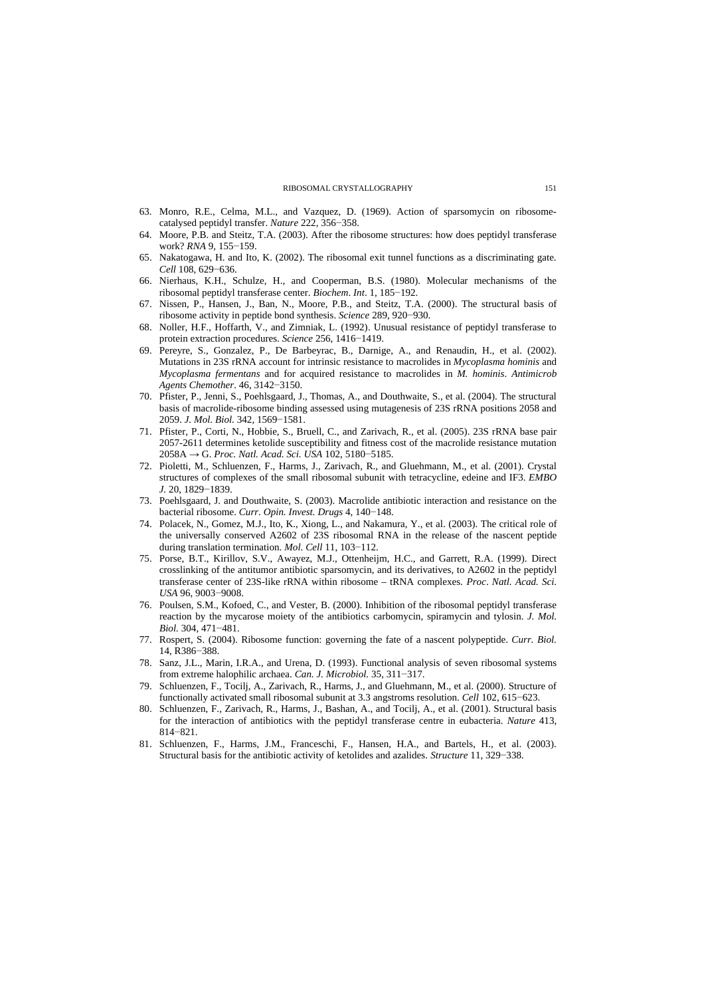- 63. Monro, R.E., Celma, M.L., and Vazquez, D. (1969). Action of sparsomycin on ribosomecatalysed peptidyl transfer. *Nature* 222, 356−358.
- 64. Moore, P.B. and Steitz, T.A. (2003). After the ribosome structures: how does peptidyl transferase work? *RNA* 9, 155−159.
- 65. Nakatogawa, H. and Ito, K. (2002). The ribosomal exit tunnel functions as a discriminating gate. *Cell* 108, 629−636.
- 66. Nierhaus, K.H., Schulze, H., and Cooperman, B.S. (1980). Molecular mechanisms of the ribosomal peptidyl transferase center. *Biochem*. *Int*. 1, 185−192.
- 67. Nissen, P., Hansen, J., Ban, N., Moore, P.B., and Steitz, T.A. (2000). The structural basis of ribosome activity in peptide bond synthesis. *Science* 289, 920−930.
- 68. Noller, H.F., Hoffarth, V., and Zimniak, L. (1992). Unusual resistance of peptidyl transferase to protein extraction procedures. *Science* 256, 1416−1419.
- 69. Pereyre, S., Gonzalez, P., De Barbeyrac, B., Darnige, A., and Renaudin, H., et al. (2002). Mutations in 23S rRNA account for intrinsic resistance to macrolides in *Mycoplasma hominis* and *Mycoplasma fermentans* and for acquired resistance to macrolides in *M. hominis*. *Antimicrob Agents Chemother*. 46, 3142−3150.
- 70. Pfister, P., Jenni, S., Poehlsgaard, J., Thomas, A., and Douthwaite, S., et al. (2004). The structural basis of macrolide-ribosome binding assessed using mutagenesis of 23S rRNA positions 2058 and 2059. *J. Mol. Biol.* 342, 1569−1581.
- 71. Pfister, P., Corti, N., Hobbie, S., Bruell, C., and Zarivach, R., et al. (2005). 23S rRNA base pair 2057-2611 determines ketolide susceptibility and fitness cost of the macrolide resistance mutation 2058A → G. *Proc. Natl. Acad. Sci. USA* 102, 5180−5185.
- structures of complexes of the small ribosomal subunit with tetracycline, edeine and IF3. *EMBO J.* 20, 1829−1839. 72. Pioletti, M., Schluenzen, F., Harms, J., Zarivach, R., and Gluehmann, M., et al. (2001). Crystal
- bacterial ribosome. *Curr. Opin. Invest. Drugs* 4, 140−148. 73. Poehlsgaard, J. and Douthwaite, S. (2003). Macrolide antibiotic interaction and resistance on the
- the universally conserved A2602 of 23S ribosomal RNA in the release of the nascent peptide during translation termination. *Mol. Cell* 11, 103−112. 74. Polacek, N., Gomez, M.J., Ito, K., Xiong, L., and Nakamura, Y., et al. (2003). The critical role of
- crosslinking of the antitumor antibiotic sparsomycin, and its derivatives, to A2602 in the peptidyl transferase center of 23S-like rRNA within ribosome – tRNA complexes. *Proc*. *Natl. Acad. Sci. USA* 96, 9003−9008. 75. Porse, B.T., Kirillov, S.V., Awayez, M.J., Ottenheijm, H.C., and Garrett, R.A. (1999). Direct
- reaction by the mycarose moiety of the antibiotics carbomycin, spiramycin and tylosin. *J. Mol. Biol.* 304, 471−481. 76. Poulsen, S.M., Kofoed, C., and Vester, B. (2000). Inhibition of the ribosomal peptidyl transferase
- 14, R386−388. 77. Rospert, S. (2004). Ribosome function: governing the fate of a nascent polypeptide. *Curr. Biol.*
- from extreme halophilic archaea. *Can. J. Microbiol.* 35, 311−317. 78. Sanz, J.L., Marin, I.R.A., and Urena, D. (1993). Functional analysis of seven ribosomal systems
- functionally activated small ribosomal subunit at 3.3 angstroms resolution. *Cell* 102, 615−623. 79. Schluenzen, F., Tocilj, A., Zarivach, R., Harms, J., and Gluehmann, M., et al. (2000). Structure of
- for the interaction of antibiotics with the peptidyl transferase centre in eubacteria. *Nature* 413, 814−821. 80. Schluenzen, F., Zarivach, R., Harms, J., Bashan, A., and Tocilj, A., et al. (2001). Structural basis
- Structural basis for the antibiotic activity of ketolides and azalides. *Structure* 11, 329−338. 81. Schluenzen, F., Harms, J.M., Franceschi, F., Hansen, H.A., and Bartels, H., et al. (2003).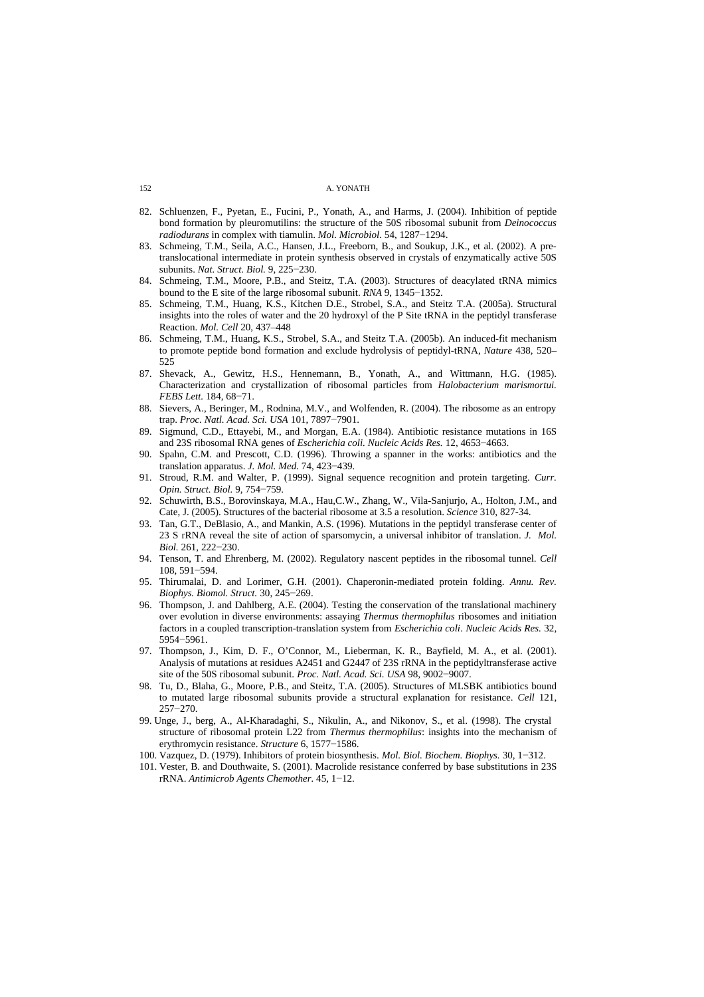- bond formation by pleuromutilins: the structure of the 50S ribosomal subunit from *Deinococcus radiodurans* in complex with tiamulin. *Mol*. *Microbiol*. 54, 1287−1294. 82. Schluenzen, F., Pyetan, E., Fucini, P., Yonath, A., and Harms, J. (2004). Inhibition of peptide
- translocational intermediate in protein synthesis observed in crystals of enzymatically active 50S subunits. *Nat. Struct. Biol.* 9, 225−230. 83. Schmeing, T.M., Seila, A.C., Hansen, J.L., Freeborn, B., and Soukup, J.K., et al. (2002). A pre-
- bound to the E site of the large ribosomal subunit. *RNA* 9, 1345−1352. 84. Schmeing, T.M., Moore, P.B., and Steitz, T.A. (2003). Structures of deacylated tRNA mimics
- insights into the roles of water and the 20 hydroxyl of the P Site tRNA in the peptidyl transferase Reaction. *Mol. Cell* 20, 437–448 85. Schmeing, T.M., Huang, K.S., Kitchen D.E., Strobel, S.A., and Steitz T.A. (2005a). Structural
- to promote peptide bond formation and exclude hydrolysis of peptidyl-tRNA, *Nature* 438, 520– 525 86. Schmeing, T.M., Huang, K.S., Strobel, S.A., and Steitz T.A. (2005b). An induced-fit mechanism
- Characterization and crystallization of ribosomal particles from *Halobacterium marismortui. FEBS Lett.* 184, 68−71. 87. Shevack, A., Gewitz, H.S., Hennemann, B., Yonath, A., and Wittmann, H.G. (1985).
- trap. *Proc. Natl. Acad. Sci. USA* 101, 7897−7901. 88. Sievers, A., Beringer, M., Rodnina, M.V., and Wolfenden, R. (2004). The ribosome as an entropy
- and 23S ribosomal RNA genes of *Escherichia coli. Nucleic Acids Res.* 12, 4653−4663. Sigmund, C.D., Ettayebi, M., and Morgan, E.A. (1984). Antibiotic resistance mutations in 16S
- translation apparatus. *J. Mol. Med.* 74, 423−439. 90. Spahn, C.M. and Prescott, C.D. (1996). Throwing a spanner in the works: antibiotics and the
- *Opin. Struct. Biol.* 9, 754−759. 91. Stroud, R.M. and Walter, P. (1999). Signal sequence recognition and protein targeting. *Curr.*
- Cate, J. (2005). Structures of the bacterial ribosome at 3.5 a resolution. *Science* 310, 827-34. 92. Schuwirth, B.S., Borovinskaya, M.A., Hau,C.W., Zhang, W., Vila-Sanjurjo, A., Holton, J.M., and
- 23 S rRNA reveal the site of action of sparsomycin, a universal inhibitor of translation. *J. Mol. Biol.* 261, 222−230. 93. Tan, G.T., DeBlasio, A., and Mankin, A.S. (1996). Mutations in the peptidyl transferase center of
- 108, 591−594. 94. Tenson, T. and Ehrenberg, M. (2002). Regulatory nascent peptides in the ribosomal tunnel. *Cell*
- *Biophys. Biomol. Struct.* 30, 245−269. 95. Thirumalai, D. and Lorimer, G.H. (2001). Chaperonin-mediated protein folding. *Annu. Rev.*
- over evolution in diverse environments: assaying *Thermus thermophilus* ribosomes and initiation factors in a coupled transcription-translation system from *Escherichia coli*. *Nucleic Acids Res.* 32, 5954−5961. 96. Thompson, J. and Dahlberg, A.E. (2004). Testing the conservation of the translational machinery
- Analysis of mutations at residues A2451 and G2447 of 23S rRNA in the peptidyltransferase active site of the 50S ribosomal subunit. *Proc. Natl. Acad. Sci. USA* 98, 9002−9007. 97. Thompson, J., Kim, D. F., O'Connor, M., Lieberman, K. R., Bayfield, M. A., et al. (2001).
- to mutated large ribosomal subunits provide a structural explanation for resistance. *Cell* 121, 257−270. 98. Tu, D., Blaha, G., Moore, P.B., and Steitz, T.A. (2005). Structures of MLSBK antibiotics bound
- structure of ribosomal protein L22 from *Thermus thermophilus*: insights into the mechanism of erythromycin resistance. *Structure* 6, 1577−1586. 99. Unge, J., berg, A., Al-Kharadaghi, S., Nikulin, A., and Nikonov, S., et al. (1998). The crystal
- 100. Vazquez, D. (1979). Inhibitors of protein biosynthesis. *Mol. Biol. Biochem. Biophys.* 30, 1−312.
- rRNA. *Antimicrob Agents Chemother.* 45, 1−12. 101. Vester, B. and Douthwaite, S. (2001). Macrolide resistance conferred by base substitutions in 23S